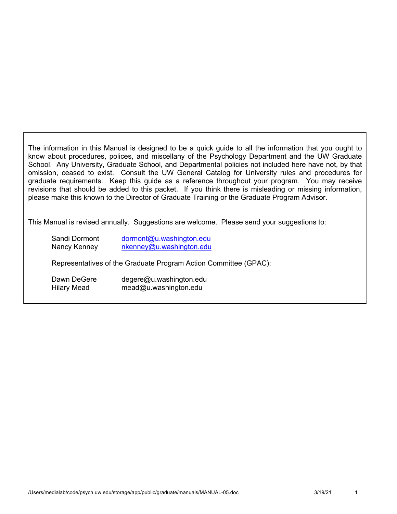The information in this Manual is designed to be a quick guide to all the information that you ought to know about procedures, polices, and miscellany of the Psychology Department and the UW Graduate School. Any University, Graduate School, and Departmental policies not included here have not, by that omission, ceased to exist. Consult the UW General Catalog for University rules and procedures for graduate requirements. Keep this guide as a reference throughout your program. You may receive revisions that should be added to this packet. If you think there is misleading or missing information, please make this known to the Director of Graduate Training or the Graduate Program Advisor.

This Manual is revised annually. Suggestions are welcome. Please send your suggestions to:

| Sandi Dormont      | dormont@u.washington.edu                                         |
|--------------------|------------------------------------------------------------------|
| Nancy Kenney       | nkenney@u.washington.edu                                         |
|                    | Representatives of the Graduate Program Action Committee (GPAC): |
| Dawn DeGere        | degere@u.washington.edu                                          |
| <b>Hilary Mead</b> | mead@u.washington.edu                                            |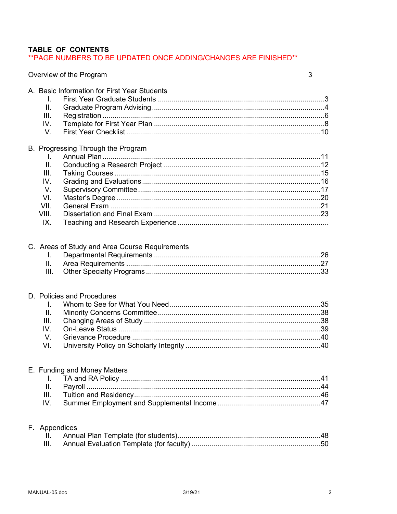## TABLE OF CONTENTS

\*\* PAGE NUMBERS TO BE UPDATED ONCE ADDING/CHANGES ARE FINISHED\*\*

### Overview of the Program

| ۰.                     |
|------------------------|
| ٦<br>I<br>×<br>×<br>۰. |

|                 | A. Basic Information for First Year Students   |  |
|-----------------|------------------------------------------------|--|
| L.              |                                                |  |
| Ш.              |                                                |  |
| III.            |                                                |  |
| IV.             |                                                |  |
| V.              |                                                |  |
|                 | B. Progressing Through the Program             |  |
| I.              |                                                |  |
| $\mathbf{II}$ . |                                                |  |
| III.            |                                                |  |
| IV.             |                                                |  |
| V.              |                                                |  |
| VI.             |                                                |  |
| VII.            |                                                |  |
| VIII.           |                                                |  |
| IX.             |                                                |  |
|                 |                                                |  |
|                 | C. Areas of Study and Area Course Requirements |  |
| I.              |                                                |  |
| ΙΙ.             |                                                |  |
| III.            |                                                |  |
|                 |                                                |  |
|                 | D. Policies and Procedures                     |  |
| I.              |                                                |  |
| II.             |                                                |  |
| III.            |                                                |  |
| IV.             |                                                |  |
| V.              |                                                |  |
| VI.             |                                                |  |
|                 |                                                |  |
|                 | E. Funding and Money Matters                   |  |
| Ш.              |                                                |  |
| Ш.              |                                                |  |
| IV.             |                                                |  |
|                 |                                                |  |
|                 | F. Appendices                                  |  |
| H.              |                                                |  |
| Ш.              |                                                |  |
|                 |                                                |  |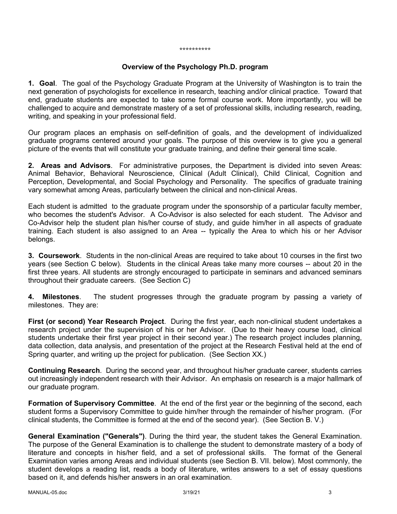#### \*\*\*\*\*\*\*\*\*\*

#### **Overview of the Psychology Ph.D. program**

**1. Goal**. The goal of the Psychology Graduate Program at the University of Washington is to train the next generation of psychologists for excellence in research, teaching and/or clinical practice. Toward that end, graduate students are expected to take some formal course work. More importantly, you will be challenged to acquire and demonstrate mastery of a set of professional skills, including research, reading, writing, and speaking in your professional field.

Our program places an emphasis on self-definition of goals, and the development of individualized graduate programs centered around your goals. The purpose of this overview is to give you a general picture of the events that will constitute your graduate training, and define their general time scale.

**2. Areas and Advisors**. For administrative purposes, the Department is divided into seven Areas: Animal Behavior, Behavioral Neuroscience, Clinical (Adult Clinical), Child Clinical, Cognition and Perception, Developmental, and Social Psychology and Personality. The specifics of graduate training vary somewhat among Areas, particularly between the clinical and non-clinical Areas.

Each student is admitted to the graduate program under the sponsorship of a particular faculty member, who becomes the student's Advisor. A Co-Advisor is also selected for each student. The Advisor and Co-Advisor help the student plan his/her course of study, and guide him/her in all aspects of graduate training. Each student is also assigned to an Area -- typically the Area to which his or her Advisor belongs.

**3. Coursework**. Students in the non-clinical Areas are required to take about 10 courses in the first two years (see Section C below). Students in the clinical Areas take many more courses -- about 20 in the first three years. All students are strongly encouraged to participate in seminars and advanced seminars throughout their graduate careers. (See Section C)

**4. Milestones**. The student progresses through the graduate program by passing a variety of milestones. They are:

**First (or second) Year Research Project**. During the first year, each non-clinical student undertakes a research project under the supervision of his or her Advisor. (Due to their heavy course load, clinical students undertake their first year project in their second year.) The research project includes planning, data collection, data analysis, and presentation of the project at the Research Festival held at the end of Spring quarter, and writing up the project for publication. (See Section XX.)

**Continuing Research**. During the second year, and throughout his/her graduate career, students carries out increasingly independent research with their Advisor. An emphasis on research is a major hallmark of our graduate program.

**Formation of Supervisory Committee**. At the end of the first year or the beginning of the second, each student forms a Supervisory Committee to guide him/her through the remainder of his/her program. (For clinical students, the Committee is formed at the end of the second year). (See Section B. V.)

**General Examination ("Generals")**. During the third year, the student takes the General Examination. The purpose of the General Examination is to challenge the student to demonstrate mastery of a body of literature and concepts in his/her field, and a set of professional skills. The format of the General Examination varies among Areas and individual students (see Section B. VII. below). Most commonly, the student develops a reading list, reads a body of literature, writes answers to a set of essay questions based on it, and defends his/her answers in an oral examination.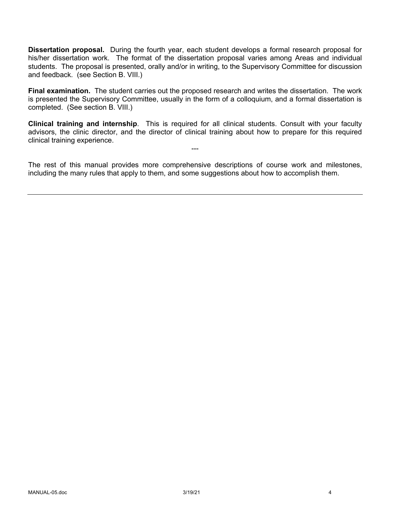**Dissertation proposal.** During the fourth year, each student develops a formal research proposal for his/her dissertation work. The format of the dissertation proposal varies among Areas and individual students. The proposal is presented, orally and/or in writing, to the Supervisory Committee for discussion and feedback. (see Section B. VIII.)

**Final examination.** The student carries out the proposed research and writes the dissertation. The work is presented the Supervisory Committee, usually in the form of a colloquium, and a formal dissertation is completed. (See section B. VIII.)

**Clinical training and internship**. This is required for all clinical students. Consult with your faculty advisors, the clinic director, and the director of clinical training about how to prepare for this required clinical training experience.

---

The rest of this manual provides more comprehensive descriptions of course work and milestones, including the many rules that apply to them, and some suggestions about how to accomplish them.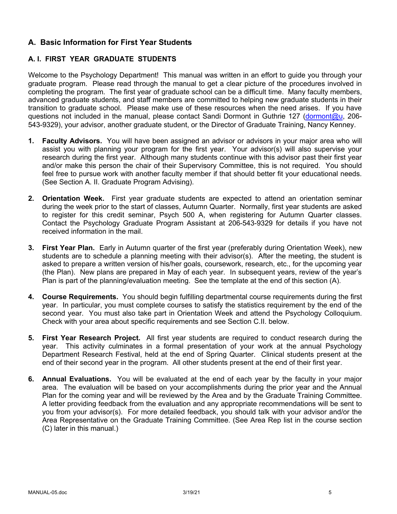## **A. Basic Information for First Year Students**

### **A. I. FIRST YEAR GRADUATE STUDENTS**

Welcome to the Psychology Department! This manual was written in an effort to guide you through your graduate program. Please read through the manual to get a clear picture of the procedures involved in completing the program. The first year of graduate school can be a difficult time. Many faculty members, advanced graduate students, and staff members are committed to helping new graduate students in their transition to graduate school. Please make use of these resources when the need arises. If you have questions not included in the manual, please contact Sandi Dormont in Guthrie 127 (dormont@u, 206- 543-9329), your advisor, another graduate student, or the Director of Graduate Training, Nancy Kenney.

- **1. Faculty Advisors.** You will have been assigned an advisor or advisors in your major area who will assist you with planning your program for the first year. Your advisor(s) will also supervise your research during the first year. Although many students continue with this advisor past their first year and/or make this person the chair of their Supervisory Committee, this is not required. You should feel free to pursue work with another faculty member if that should better fit your educational needs. (See Section A. II. Graduate Program Advising).
- **2. Orientation Week.** First year graduate students are expected to attend an orientation seminar during the week prior to the start of classes, Autumn Quarter. Normally, first year students are asked to register for this credit seminar, Psych 500 A, when registering for Autumn Quarter classes. Contact the Psychology Graduate Program Assistant at 206-543-9329 for details if you have not received information in the mail.
- **3. First Year Plan.** Early in Autumn quarter of the first year (preferably during Orientation Week), new students are to schedule a planning meeting with their advisor(s). After the meeting, the student is asked to prepare a written version of his/her goals, coursework, research, etc., for the upcoming year (the Plan). New plans are prepared in May of each year. In subsequent years, review of the year's Plan is part of the planning/evaluation meeting. See the template at the end of this section (A).
- **4. Course Requirements.** You should begin fulfilling departmental course requirements during the first year. In particular, you must complete courses to satisfy the statistics requirement by the end of the second year. You must also take part in Orientation Week and attend the Psychology Colloquium. Check with your area about specific requirements and see Section C.II. below.
- **5. First Year Research Project.** All first year students are required to conduct research during the year. This activity culminates in a formal presentation of your work at the annual Psychology Department Research Festival, held at the end of Spring Quarter. Clinical students present at the end of their second year in the program. All other students present at the end of their first year.
- **6. Annual Evaluations.** You will be evaluated at the end of each year by the faculty in your major area. The evaluation will be based on your accomplishments during the prior year and the Annual Plan for the coming year and will be reviewed by the Area and by the Graduate Training Committee. A letter providing feedback from the evaluation and any appropriate recommendations will be sent to you from your advisor(s). For more detailed feedback, you should talk with your advisor and/or the Area Representative on the Graduate Training Committee. (See Area Rep list in the course section (C) later in this manual.)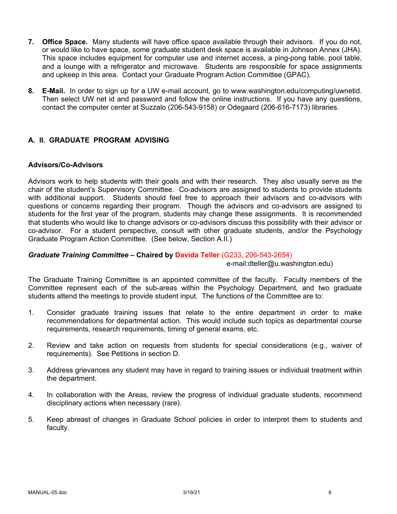- **7. Office Space.** Many students will have office space available through their advisors. If you do not, or would like to have space, some graduate student desk space is available in Johnson Annex (JHA). This space includes equipment for computer use and internet access, a ping-pong table, pool table, and a lounge with a refrigerator and microwave. Students are responsible for space assignments and upkeep in this area. Contact your Graduate Program Action Committee (GPAC).
- **8. E-Mail.** In order to sign up for a UW e-mail account, go to www.washington.edu/computing/uwnetid. Then select UW net id and password and follow the online instructions. If you have any questions, contact the computer center at Suzzalo (206-543-9158) or Odegaard (206-616-7173) libraries.

### **A. II. GRADUATE PROGRAM ADVISING**

#### **Advisors/Co-Advisors**

Advisors work to help students with their goals and with their research. They also usually serve as the chair of the student's Supervisory Committee. Co-advisors are assigned to students to provide students with additional support. Students should feel free to approach their advisors and co-advisors with questions or concerns regarding their program. Though the advisors and co-advisors are assigned to students for the first year of the program, students may change these assignments. It is recommended that students who would like to change advisors or co-advisors discuss this possibility with their advisor or co-advisor. For a student perspective, consult with other graduate students, and/or the Psychology Graduate Program Action Committee. (See below, Section A.II.)

#### *Graduate Training Committee –* **Chaired by Davida Teller** (G233, 206-543-2654)

e-mail:dteller@u.washington.edu)

The Graduate Training Committee is an appointed committee of the faculty. Faculty members of the Committee represent each of the sub-areas within the Psychology Department, and two graduate students attend the meetings to provide student input. The functions of the Committee are to:

- 1. Consider graduate training issues that relate to the entire department in order to make recommendations for departmental action. This would include such topics as departmental course requirements, research requirements, timing of general exams, etc.
- 2. Review and take action on requests from students for special considerations (e.g., waiver of requirements). See Petitions in section D.
- 3. Address grievances any student may have in regard to training issues or individual treatment within the department.
- 4. In collaboration with the Areas, review the progress of individual graduate students, recommend disciplinary actions when necessary (rare).
- 5. Keep abreast of changes in Graduate School policies in order to interpret them to students and faculty.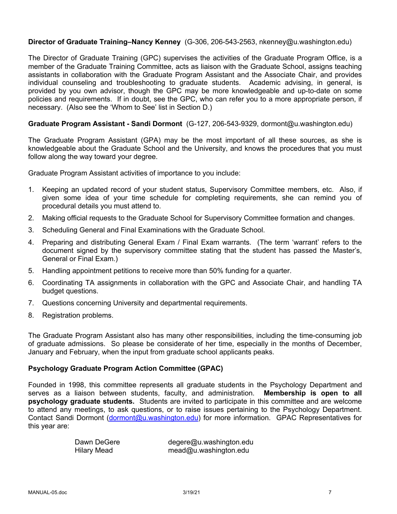#### **Director of Graduate Training–Nancy Kenney** (G-306, 206-543-2563, nkenney@u.washington.edu)

The Director of Graduate Training (GPC) supervises the activities of the Graduate Program Office, is a member of the Graduate Training Committee, acts as liaison with the Graduate School, assigns teaching assistants in collaboration with the Graduate Program Assistant and the Associate Chair, and provides individual counseling and troubleshooting to graduate students. Academic advising, in general, is provided by you own advisor, though the GPC may be more knowledgeable and up-to-date on some policies and requirements. If in doubt, see the GPC, who can refer you to a more appropriate person, if necessary. (Also see the 'Whom to See' list in Section D.)

#### **Graduate Program Assistant - Sandi Dormont** (G-127, 206-543-9329, dormont@u.washington.edu)

The Graduate Program Assistant (GPA) may be the most important of all these sources, as she is knowledgeable about the Graduate School and the University, and knows the procedures that you must follow along the way toward your degree.

Graduate Program Assistant activities of importance to you include:

- 1. Keeping an updated record of your student status, Supervisory Committee members, etc. Also, if given some idea of your time schedule for completing requirements, she can remind you of procedural details you must attend to.
- 2. Making official requests to the Graduate School for Supervisory Committee formation and changes.
- 3. Scheduling General and Final Examinations with the Graduate School.
- 4. Preparing and distributing General Exam / Final Exam warrants. (The term 'warrant' refers to the document signed by the supervisory committee stating that the student has passed the Master's, General or Final Exam.)
- 5. Handling appointment petitions to receive more than 50% funding for a quarter.
- 6. Coordinating TA assignments in collaboration with the GPC and Associate Chair, and handling TA budget questions.
- 7. Questions concerning University and departmental requirements.
- 8. Registration problems.

The Graduate Program Assistant also has many other responsibilities, including the time-consuming job of graduate admissions. So please be considerate of her time, especially in the months of December, January and February, when the input from graduate school applicants peaks.

#### **Psychology Graduate Program Action Committee (GPAC)**

Founded in 1998, this committee represents all graduate students in the Psychology Department and serves as a liaison between students, faculty, and administration. **Membership is open to all psychology graduate students.** Students are invited to participate in this committee and are welcome to attend any meetings, to ask questions, or to raise issues pertaining to the Psychology Department. Contact Sandi Dormont (dormont@u.washington.edu) for more information. GPAC Representatives for this year are:

| Dawn DeGere        | degere@u.washington.edu |
|--------------------|-------------------------|
| <b>Hilary Mead</b> | mead@u.washington.edu   |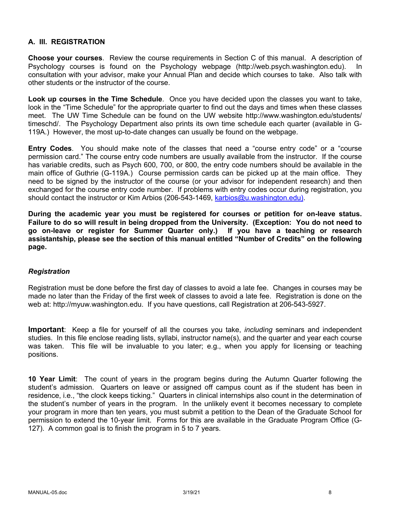### **A. III. REGISTRATION**

**Choose your courses**. Review the course requirements in Section C of this manual. A description of Psychology courses is found on the Psychology webpage (http://web.psych.washington.edu). In consultation with your advisor, make your Annual Plan and decide which courses to take. Also talk with other students or the instructor of the course.

**Look up courses in the Time Schedule**. Once you have decided upon the classes you want to take, look in the "Time Schedule" for the appropriate quarter to find out the days and times when these classes meet. The UW Time Schedule can be found on the UW website http://www.washington.edu/students/ timeschd/. The Psychology Department also prints its own time schedule each quarter (available in G-119A.) However, the most up-to-date changes can usually be found on the webpage.

**Entry Codes**. You should make note of the classes that need a "course entry code" or a "course permission card." The course entry code numbers are usually available from the instructor. If the course has variable credits, such as Psych 600, 700, or 800, the entry code numbers should be available in the main office of Guthrie (G-119A.) Course permission cards can be picked up at the main office. They need to be signed by the instructor of the course (or your advisor for independent research) and then exchanged for the course entry code number. If problems with entry codes occur during registration, you should contact the instructor or Kim Arbios (206-543-1469, karbios@u.washington.edu).

**During the academic year you must be registered for courses or petition for on-leave status. Failure to do so will result in being dropped from the University. (Exception: You do not need to go on-leave or register for Summer Quarter only.) If you have a teaching or research assistantship, please see the section of this manual entitled "Number of Credits" on the following page.**

#### *Registration*

Registration must be done before the first day of classes to avoid a late fee. Changes in courses may be made no later than the Friday of the first week of classes to avoid a late fee. Registration is done on the web at: http://myuw.washington.edu. If you have questions, call Registration at 206-543-5927.

**Important**: Keep a file for yourself of all the courses you take, *including* seminars and independent studies. In this file enclose reading lists, syllabi, instructor name(s), and the quarter and year each course was taken. This file will be invaluable to you later; e.g., when you apply for licensing or teaching positions.

**10 Year Limit**: The count of years in the program begins during the Autumn Quarter following the student's admission. Quarters on leave or assigned off campus count as if the student has been in residence, i.e., "the clock keeps ticking." Quarters in clinical internships also count in the determination of the student's number of years in the program. In the unlikely event it becomes necessary to complete your program in more than ten years, you must submit a petition to the Dean of the Graduate School for permission to extend the 10-year limit. Forms for this are available in the Graduate Program Office (G-127). A common goal is to finish the program in 5 to 7 years.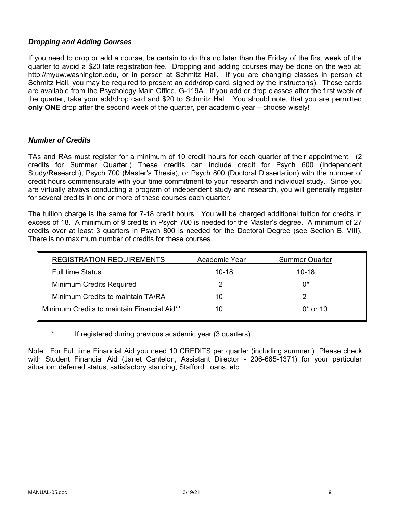### *Dropping and Adding Courses*

If you need to drop or add a course, be certain to do this no later than the Friday of the first week of the quarter to avoid a \$20 late registration fee. Dropping and adding courses may be done on the web at: http://myuw.washington.edu, or in person at Schmitz Hall. If you are changing classes in person at Schmitz Hall, you may be required to present an add/drop card, signed by the instructor(s). These cards are available from the Psychology Main Office, G-119A. If you add or drop classes after the first week of the quarter, take your add/drop card and \$20 to Schmitz Hall. You should note, that you are permitted **only ONE** drop after the second week of the quarter, per academic year – choose wisely!

#### *Number of Credits*

TAs and RAs must register for a minimum of 10 credit hours for each quarter of their appointment. (2 credits for Summer Quarter.) These credits can include credit for Psych 600 (Independent Study/Research), Psych 700 (Master's Thesis), or Psych 800 (Doctoral Dissertation) with the number of credit hours commensurate with your time commitment to your research and individual study. Since you are virtually always conducting a program of independent study and research, you will generally register for several credits in one or more of these courses each quarter.

The tuition charge is the same for 7-18 credit hours. You will be charged additional tuition for credits in excess of 18. A minimum of 9 credits in Psych 700 is needed for the Master's degree. A minimum of 27 credits over at least 3 quarters in Psych 800 is needed for the Doctoral Degree (see Section B. VIII). There is no maximum number of credits for these courses.

| <b>REGISTRATION REQUIREMENTS</b>            | Academic Year | <b>Summer Quarter</b> |
|---------------------------------------------|---------------|-----------------------|
| <b>Full time Status</b>                     | $10 - 18$     | $10 - 18$             |
| Minimum Credits Required                    |               | በ*                    |
| Minimum Credits to maintain TA/RA           | 10            |                       |
| Minimum Credits to maintain Financial Aid** | 10            | $0*$ or 10            |

If registered during previous academic year (3 quarters)

Note: For Full time Financial Aid you need 10 CREDITS per quarter (including summer.) Please check with Student Financial Aid (Janet Cantelon, Assistant Director - 206-685-1371) for your particular situation: deferred status, satisfactory standing, Stafford Loans. etc.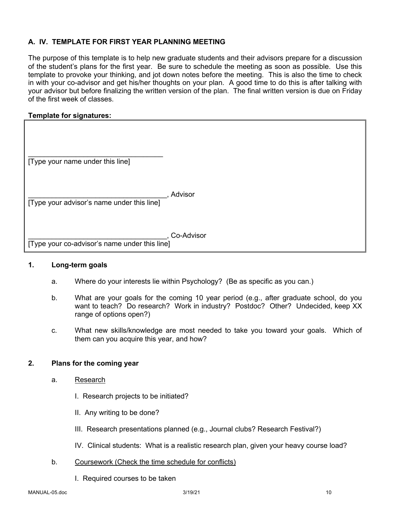### **A. IV. TEMPLATE FOR FIRST YEAR PLANNING MEETING**

The purpose of this template is to help new graduate students and their advisors prepare for a discussion of the student's plans for the first year. Be sure to schedule the meeting as soon as possible. Use this template to provoke your thinking, and jot down notes before the meeting. This is also the time to check in with your co-advisor and get his/her thoughts on your plan. A good time to do this is after talking with your advisor but before finalizing the written version of the plan. The final written version is due on Friday of the first week of classes.

#### **Template for signatures:**

| [Type your name under this line]              |            |
|-----------------------------------------------|------------|
|                                               |            |
| [Type your advisor's name under this line]    | Advisor    |
|                                               |            |
| [Type your co-advisor's name under this line] | Co-Advisor |

#### **1. Long-term goals**

- a. Where do your interests lie within Psychology? (Be as specific as you can.)
- b. What are your goals for the coming 10 year period (e.g., after graduate school, do you want to teach? Do research? Work in industry? Postdoc? Other? Undecided, keep XX range of options open?)
- c. What new skills/knowledge are most needed to take you toward your goals. Which of them can you acquire this year, and how?

#### **2. Plans for the coming year**

- a. Research
	- I. Research projects to be initiated?
	- II. Any writing to be done?
	- III. Research presentations planned (e.g., Journal clubs? Research Festival?)
	- IV. Clinical students: What is a realistic research plan, given your heavy course load?
- b. Coursework (Check the time schedule for conflicts)
	- I. Required courses to be taken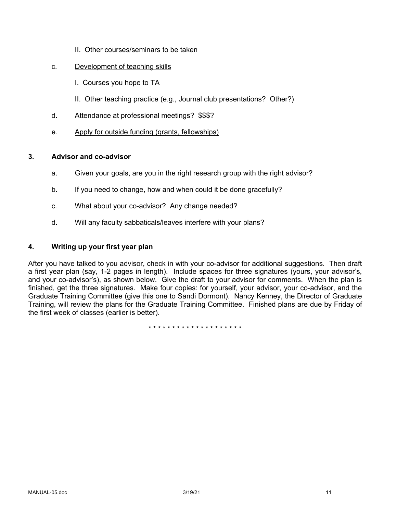- II. Other courses/seminars to be taken
- c. Development of teaching skills
	- I. Courses you hope to TA
	- II. Other teaching practice (e.g., Journal club presentations? Other?)
- d. Attendance at professional meetings? \$\$\$?
- e. Apply for outside funding (grants, fellowships)

### **3. Advisor and co-advisor**

- a. Given your goals, are you in the right research group with the right advisor?
- b. If you need to change, how and when could it be done gracefully?
- c. What about your co-advisor? Any change needed?
- d. Will any faculty sabbaticals/leaves interfere with your plans?

### **4. Writing up your first year plan**

After you have talked to you advisor, check in with your co-advisor for additional suggestions. Then draft a first year plan (say, 1-2 pages in length). Include spaces for three signatures (yours, your advisor's, and your co-advisor's), as shown below. Give the draft to your advisor for comments. When the plan is finished, get the three signatures. Make four copies: for yourself, your advisor, your co-advisor, and the Graduate Training Committee (give this one to Sandi Dormont). Nancy Kenney, the Director of Graduate Training, will review the plans for the Graduate Training Committee. Finished plans are due by Friday of the first week of classes (earlier is better).

\* \* \* \* \* \* \* \* \* \* \* \* \* \* \* \* \* \* \* \*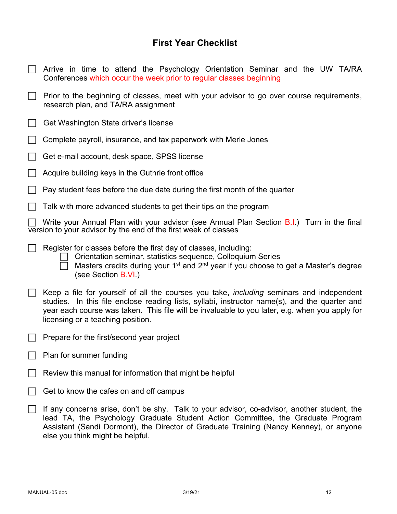# **First Year Checklist**

| Arrive in time to attend the Psychology Orientation Seminar and the UW TA/RA<br>Conferences which occur the week prior to regular classes beginning                                                                                                                                                                                     |  |  |
|-----------------------------------------------------------------------------------------------------------------------------------------------------------------------------------------------------------------------------------------------------------------------------------------------------------------------------------------|--|--|
| Prior to the beginning of classes, meet with your advisor to go over course requirements,<br>research plan, and TA/RA assignment                                                                                                                                                                                                        |  |  |
| Get Washington State driver's license                                                                                                                                                                                                                                                                                                   |  |  |
| Complete payroll, insurance, and tax paperwork with Merle Jones                                                                                                                                                                                                                                                                         |  |  |
| Get e-mail account, desk space, SPSS license                                                                                                                                                                                                                                                                                            |  |  |
| Acquire building keys in the Guthrie front office                                                                                                                                                                                                                                                                                       |  |  |
| Pay student fees before the due date during the first month of the quarter                                                                                                                                                                                                                                                              |  |  |
| Talk with more advanced students to get their tips on the program                                                                                                                                                                                                                                                                       |  |  |
| Write your Annual Plan with your advisor (see Annual Plan Section B.I.) Turn in the final<br>version to your advisor by the end of the first week of classes                                                                                                                                                                            |  |  |
| Register for classes before the first day of classes, including:<br>Orientation seminar, statistics sequence, Colloquium Series<br>Masters credits during your 1 <sup>st</sup> and 2 <sup>nd</sup> year if you choose to get a Master's degree<br>(see Section B.VI.)                                                                   |  |  |
| Keep a file for yourself of all the courses you take, <i>including</i> seminars and independent<br>studies. In this file enclose reading lists, syllabi, instructor name(s), and the quarter and<br>year each course was taken. This file will be invaluable to you later, e.g. when you apply for<br>licensing or a teaching position. |  |  |
| Prepare for the first/second year project                                                                                                                                                                                                                                                                                               |  |  |
| Plan for summer funding                                                                                                                                                                                                                                                                                                                 |  |  |
| Review this manual for information that might be helpful                                                                                                                                                                                                                                                                                |  |  |
| Get to know the cafes on and off campus                                                                                                                                                                                                                                                                                                 |  |  |
| If any concerns arise, don't be shy. Talk to your advisor, co-advisor, another student, the<br>lead TA, the Psychology Graduate Student Action Committee, the Graduate Program<br>Assistant (Sandi Dormont), the Director of Graduate Training (Nancy Kenney), or anyone<br>else you think might be helpful.                            |  |  |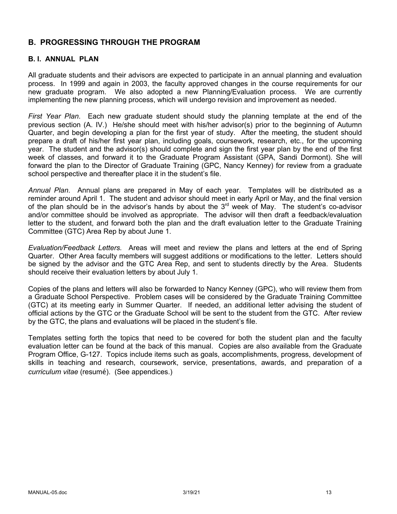## **B. PROGRESSING THROUGH THE PROGRAM**

#### **B. I. ANNUAL PLAN**

All graduate students and their advisors are expected to participate in an annual planning and evaluation process. In 1999 and again in 2003, the faculty approved changes in the course requirements for our new graduate program. We also adopted a new Planning/Evaluation process. We are currently implementing the new planning process, which will undergo revision and improvement as needed.

*First Year Plan*. Each new graduate student should study the planning template at the end of the previous section (A. IV.) He/she should meet with his/her advisor(s) prior to the beginning of Autumn Quarter, and begin developing a plan for the first year of study. After the meeting, the student should prepare a draft of his/her first year plan, including goals, coursework, research, etc., for the upcoming year. The student and the advisor(s) should complete and sign the first year plan by the end of the first week of classes, and forward it to the Graduate Program Assistant (GPA, Sandi Dormont). She will forward the plan to the Director of Graduate Training (GPC, Nancy Kenney) for review from a graduate school perspective and thereafter place it in the student's file.

*Annual Plan*. Annual plans are prepared in May of each year. Templates will be distributed as a reminder around April 1. The student and advisor should meet in early April or May, and the final version of the plan should be in the advisor's hands by about the  $3<sup>rd</sup>$  week of May. The student's co-advisor and/or committee should be involved as appropriate. The advisor will then draft a feedback/evaluation letter to the student, and forward both the plan and the draft evaluation letter to the Graduate Training Committee (GTC) Area Rep by about June 1.

*Evaluation/Feedback Letters.* Areas will meet and review the plans and letters at the end of Spring Quarter. Other Area faculty members will suggest additions or modifications to the letter. Letters should be signed by the advisor and the GTC Area Rep, and sent to students directly by the Area. Students should receive their evaluation letters by about July 1.

Copies of the plans and letters will also be forwarded to Nancy Kenney (GPC), who will review them from a Graduate School Perspective. Problem cases will be considered by the Graduate Training Committee (GTC) at its meeting early in Summer Quarter. If needed, an additional letter advising the student of official actions by the GTC or the Graduate School will be sent to the student from the GTC. After review by the GTC, the plans and evaluations will be placed in the student's file.

Templates setting forth the topics that need to be covered for both the student plan and the faculty evaluation letter can be found at the back of this manual. Copies are also available from the Graduate Program Office, G-127. Topics include items such as goals, accomplishments, progress, development of skills in teaching and research, coursework, service, presentations, awards, and preparation of a *curriculum vitae* (resumé). (See appendices.)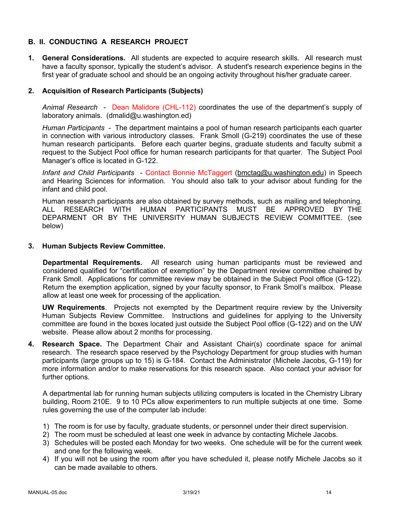### **B. II. CONDUCTING A RESEARCH PROJECT**

**1. General Considerations.** All students are expected to acquire research skills. All research must have a faculty sponsor, typically the student's advisor. A student's research experience begins in the first year of graduate school and should be an ongoing activity throughout his/her graduate career.

### **2. Acquisition of Research Participants (Subjects)**

*Animal Research* - Dean Malidore (CHL-112) coordinates the use of the department's supply of laboratory animals. (dmalid@u.washington.ed)

*Human Participants* - The department maintains a pool of human research participants each quarter in connection with various introductory classes. Frank Smoll (G-219) coordinates the use of these human research participants. Before each quarter begins, graduate students and faculty submit a request to the Subject Pool office for human research participants for that quarter. The Subject Pool Manager's office is located in G-122.

*Infant and Child Participants* - Contact Bonnie McTaggert (bmctag@u.washington.edu) in Speech and Hearing Sciences for information. You should also talk to your advisor about funding for the infant and child pool.

Human research participants are also obtained by survey methods, such as mailing and telephoning. ALL RESEARCH WITH HUMAN PARTICIPANTS MUST BE APPROVED BY THE DEPARMENT OR BY THE UNIVERSITY HUMAN SUBJECTS REVIEW COMMITTEE. (see below)

#### **3. Human Subjects Review Committee.**

**Departmental Requirements.** All research using human participants must be reviewed and considered qualified for "certification of exemption" by the Department review committee chaired by Frank Smoll. Applications for committee review may be obtained in the Subject Pool office (G-122). Return the exemption application, signed by your faculty sponsor, to Frank Smoll's mailbox. Please allow at least one week for processing of the application.

**UW Requirements**. Projects not exempted by the Department require review by the University Human Subjects Review Committee. Instructions and guidelines for applying to the University committee are found in the boxes located just outside the Subject Pool office (G-122) and on the UW website. Please allow about 2 months for processing.

**4. Research Space.** The Department Chair and Assistant Chair(s) coordinate space for animal research. The research space reserved by the Psychology Department for group studies with human participants (large groups up to 15) is G-184. Contact the Administrator (Michele Jacobs, G-119) for more information and/or to make reservations for this research space. Also contact your advisor for further options.

A departmental lab for running human subjects utilizing computers is located in the Chemistry Library building, Room 210E. 9 to 10 PCs allow experimenters to run multiple subjects at one time. Some rules governing the use of the computer lab include:

- 1) The room is for use by faculty, graduate students, or personnel under their direct supervision.
- 2) The room must be scheduled at least one week in advance by contacting Michele Jacobs.
- 3) Schedules will be posted each Monday for two weeks. One schedule will be for the current week and one for the following week.
- 4) If you will not be using the room after you have scheduled it, please notify Michele Jacobs so it can be made available to others.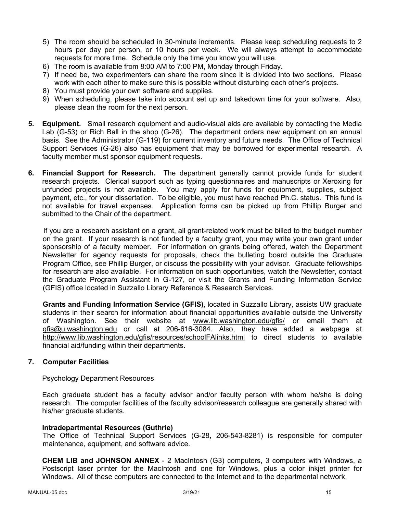- 5) The room should be scheduled in 30-minute increments. Please keep scheduling requests to 2 hours per day per person, or 10 hours per week. We will always attempt to accommodate requests for more time. Schedule only the time you know you will use.
- 6) The room is available from 8:00 AM to 7:00 PM, Monday through Friday.
- 7) If need be, two experimenters can share the room since it is divided into two sections. Please work with each other to make sure this is possible without disturbing each other's projects.
- 8) You must provide your own software and supplies.
- 9) When scheduling, please take into account set up and takedown time for your software. Also, please clean the room for the next person.
- **5. Equipment.** Small research equipment and audio-visual aids are available by contacting the Media Lab (G-53) or Rich Ball in the shop (G-26). The department orders new equipment on an annual basis. See the Administrator (G-119) for current inventory and future needs. The Office of Technical Support Services (G-26) also has equipment that may be borrowed for experimental research. A faculty member must sponsor equipment requests.
- **6. Financial Support for Research.** The department generally cannot provide funds for student research projects. Clerical support such as typing questionnaires and manuscripts or Xeroxing for unfunded projects is not available. You may apply for funds for equipment, supplies, subject payment, etc., for your dissertation. To be eligible, you must have reached Ph.C. status. This fund is not available for travel expenses. Application forms can be picked up from Phillip Burger and submitted to the Chair of the department.

If you are a research assistant on a grant, all grant-related work must be billed to the budget number on the grant. If your research is not funded by a faculty grant, you may write your own grant under sponsorship of a faculty member. For information on grants being offered, watch the Department Newsletter for agency requests for proposals, check the bulleting board outside the Graduate Program Office, see Phillip Burger, or discuss the possibility with your advisor. Graduate fellowships for research are also available. For information on such opportunities, watch the Newsletter, contact the Graduate Program Assistant in G-127, or visit the Grants and Funding Information Service (GFIS) office located in Suzzallo Library Reference & Research Services.

**Grants and Funding Information Service (GFIS)**, located in Suzzallo Library, assists UW graduate students in their search for information about financial opportunities available outside the University of Washington. See their website at www.lib.washington.edu/gfis/ or email them at gfis@u.washington.edu or call at 206-616-3084. Also, they have added a webpage at http://www.lib.washington.edu/gfis/resources/schoolFAlinks.html to direct students to available financial aid/funding within their departments.

#### **7. Computer Facilities**

Psychology Department Resources

Each graduate student has a faculty advisor and/or faculty person with whom he/she is doing research. The computer facilities of the faculty advisor/research colleague are generally shared with his/her graduate students.

#### **Intradepartmental Resources (Guthrie)**

The Office of Technical Support Services (G-28, 206-543-8281) is responsible for computer maintenance, equipment, and software advice.

**CHEM LIB and JOHNSON ANNEX** - 2 MacIntosh (G3) computers, 3 computers with Windows, a Postscript laser printer for the MacIntosh and one for Windows, plus a color inkjet printer for Windows. All of these computers are connected to the Internet and to the departmental network.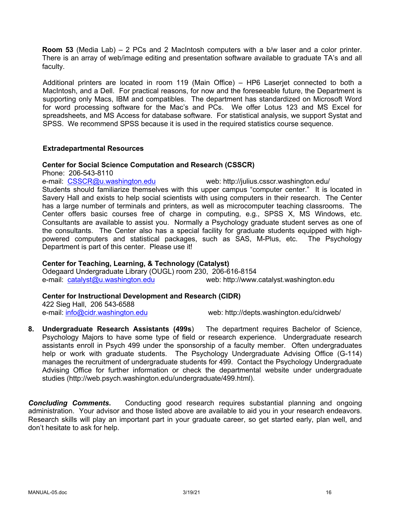**Room 53** (Media Lab) – 2 PCs and 2 MacIntosh computers with a b/w laser and a color printer. There is an array of web/image editing and presentation software available to graduate TA's and all faculty.

Additional printers are located in room 119 (Main Office) – HP6 Laserjet connected to both a MacIntosh, and a Dell. For practical reasons, for now and the foreseeable future, the Department is supporting only Macs, IBM and compatibles. The department has standardized on Microsoft Word for word processing software for the Mac's and PCs. We offer Lotus 123 and MS Excel for spreadsheets, and MS Access for database software. For statistical analysis, we support Systat and SPSS. We recommend SPSS because it is used in the required statistics course sequence.

#### **Extradepartmental Resources**

#### **Center for Social Science Computation and Research (CSSCR)**

Phone: 206-543-8110

e-mail: CSSCR@u.washington.edu web: http://julius.csscr.washington.edu/ Students should familiarize themselves with this upper campus "computer center." It is located in Savery Hall and exists to help social scientists with using computers in their research. The Center has a large number of terminals and printers, as well as microcomputer teaching classrooms. The Center offers basic courses free of charge in computing, e.g., SPSS X, MS Windows, etc. Consultants are available to assist you. Normally a Psychology graduate student serves as one of the consultants. The Center also has a special facility for graduate students equipped with highpowered computers and statistical packages, such as SAS, M-Plus, etc. The Psychology Department is part of this center. Please use it!

### **Center for Teaching, Learning, & Technology (Catalyst)**

Odegaard Undergraduate Library (OUGL) room 230, 206-616-8154 e-mail: catalyst@u.washington.edu web: http://www.catalyst.washington.edu

#### **Center for Instructional Development and Research (CIDR)**

422 Sieg Hall, 206 543-6588

e-mail: info@cidr.washington.edu web: http://depts.washington.edu/cidrweb/

**8. Undergraduate Research Assistants (499s**) The department requires Bachelor of Science, Psychology Majors to have some type of field or research experience. Undergraduate research assistants enroll in Psych 499 under the sponsorship of a faculty member. Often undergraduates help or work with graduate students. The Psychology Undergraduate Advising Office (G-114) manages the recruitment of undergraduate students for 499. Contact the Psychology Undergraduate Advising Office for further information or check the departmental website under undergraduate studies (http://web.psych.washington.edu/undergraduate/499.html).

**Concluding Comments.** Conducting good research requires substantial planning and ongoing administration. Your advisor and those listed above are available to aid you in your research endeavors. Research skills will play an important part in your graduate career, so get started early, plan well, and don't hesitate to ask for help.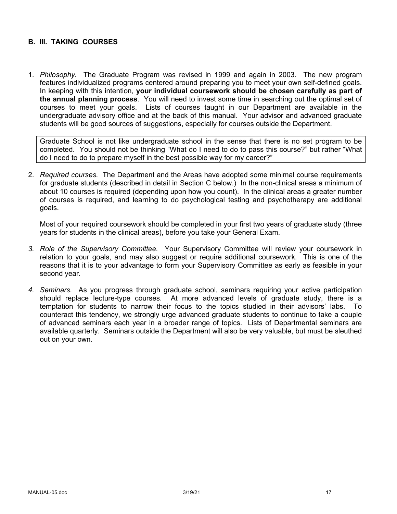#### **B. III. TAKING COURSES**

1. *Philosophy.* The Graduate Program was revised in 1999 and again in 2003. The new program features individualized programs centered around preparing you to meet your own self-defined goals. In keeping with this intention, **your individual coursework should be chosen carefully as part of the annual planning process**. You will need to invest some time in searching out the optimal set of courses to meet your goals. Lists of courses taught in our Department are available in the undergraduate advisory office and at the back of this manual. Your advisor and advanced graduate students will be good sources of suggestions, especially for courses outside the Department.

Graduate School is not like undergraduate school in the sense that there is no set program to be completed. You should not be thinking "What do I need to do to pass this course?" but rather "What do I need to do to prepare myself in the best possible way for my career?"

2. *Required courses.* The Department and the Areas have adopted some minimal course requirements for graduate students (described in detail in Section C below.) In the non-clinical areas a minimum of about 10 courses is required (depending upon how you count). In the clinical areas a greater number of courses is required, and learning to do psychological testing and psychotherapy are additional goals.

Most of your required coursework should be completed in your first two years of graduate study (three years for students in the clinical areas), before you take your General Exam.

- *3. Role of the Supervisory Committee.* Your Supervisory Committee will review your coursework in relation to your goals, and may also suggest or require additional coursework. This is one of the reasons that it is to your advantage to form your Supervisory Committee as early as feasible in your second year.
- *4. Seminars.* As you progress through graduate school, seminars requiring your active participation should replace lecture-type courses. At more advanced levels of graduate study, there is a temptation for students to narrow their focus to the topics studied in their advisors' labs. To counteract this tendency, we strongly urge advanced graduate students to continue to take a couple of advanced seminars each year in a broader range of topics. Lists of Departmental seminars are available quarterly. Seminars outside the Department will also be very valuable, but must be sleuthed out on your own.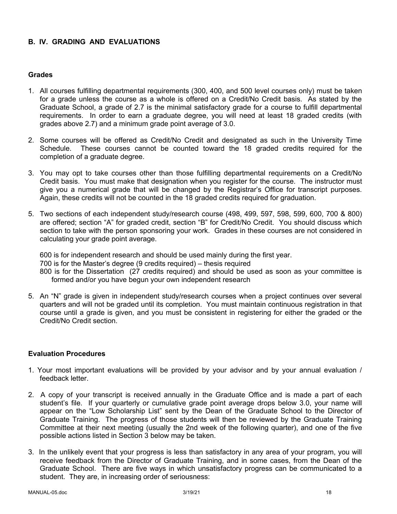### **B. IV. GRADING AND EVALUATIONS**

#### **Grades**

- 1. All courses fulfilling departmental requirements (300, 400, and 500 level courses only) must be taken for a grade unless the course as a whole is offered on a Credit/No Credit basis. As stated by the Graduate School, a grade of 2.7 is the minimal satisfactory grade for a course to fulfill departmental requirements. In order to earn a graduate degree, you will need at least 18 graded credits (with grades above 2.7) and a minimum grade point average of 3.0.
- 2. Some courses will be offered as Credit/No Credit and designated as such in the University Time Schedule. These courses cannot be counted toward the 18 graded credits required for the completion of a graduate degree.
- 3. You may opt to take courses other than those fulfilling departmental requirements on a Credit/No Credit basis. You must make that designation when you register for the course. The instructor must give you a numerical grade that will be changed by the Registrar's Office for transcript purposes. Again, these credits will not be counted in the 18 graded credits required for graduation.
- 5. Two sections of each independent study/research course (498, 499, 597, 598, 599, 600, 700 & 800) are offered; section "A" for graded credit, section "B" for Credit/No Credit. You should discuss which section to take with the person sponsoring your work. Grades in these courses are not considered in calculating your grade point average.

600 is for independent research and should be used mainly during the first year. 700 is for the Master's degree (9 credits required) – thesis required 800 is for the Dissertation (27 credits required) and should be used as soon as your committee is formed and/or you have begun your own independent research

5. An "N" grade is given in independent study/research courses when a project continues over several quarters and will not be graded until its completion. You must maintain continuous registration in that course until a grade is given, and you must be consistent in registering for either the graded or the Credit/No Credit section.

#### **Evaluation Procedures**

- 1. Your most important evaluations will be provided by your advisor and by your annual evaluation / feedback letter.
- 2. A copy of your transcript is received annually in the Graduate Office and is made a part of each student's file. If your quarterly or cumulative grade point average drops below 3.0, your name will appear on the "Low Scholarship List" sent by the Dean of the Graduate School to the Director of Graduate Training. The progress of those students will then be reviewed by the Graduate Training Committee at their next meeting (usually the 2nd week of the following quarter), and one of the five possible actions listed in Section 3 below may be taken.
- 3. In the unlikely event that your progress is less than satisfactory in any area of your program, you will receive feedback from the Director of Graduate Training, and in some cases, from the Dean of the Graduate School. There are five ways in which unsatisfactory progress can be communicated to a student. They are, in increasing order of seriousness: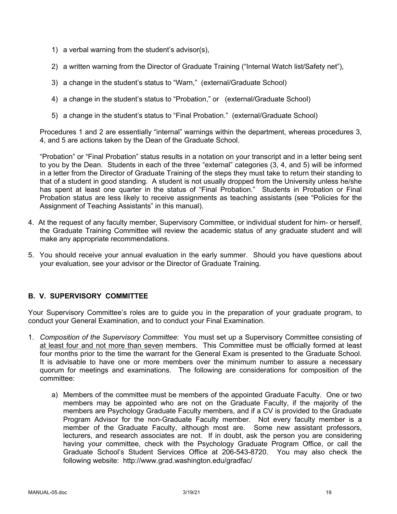- 1) a verbal warning from the student's advisor(s),
- 2) a written warning from the Director of Graduate Training ("Internal Watch list/Safety net"),
- 3) a change in the student's status to "Warn," (external/Graduate School)
- 4) a change in the student's status to "Probation," or (external/Graduate School)
- 5) a change in the student's status to "Final Probation." (external/Graduate School)

Procedures 1 and 2 are essentially "internal" warnings within the department, whereas procedures 3, 4, and 5 are actions taken by the Dean of the Graduate School.

"Probation" or "Final Probation" status results in a notation on your transcript and in a letter being sent to you by the Dean. Students in each of the three "external" categories (3, 4, and 5) will be informed in a letter from the Director of Graduate Training of the steps they must take to return their standing to that of a student in good standing. A student is not usually dropped from the University unless he/she has spent at least one quarter in the status of "Final Probation." Students in Probation or Final Probation status are less likely to receive assignments as teaching assistants (see "Policies for the Assignment of Teaching Assistants" in this manual).

- 4. At the request of any faculty member, Supervisory Committee, or individual student for him- or herself, the Graduate Training Committee will review the academic status of any graduate student and will make any appropriate recommendations.
- 5. You should receive your annual evaluation in the early summer. Should you have questions about your evaluation, see your advisor or the Director of Graduate Training.

## **B. V. SUPERVISORY COMMITTEE**

Your Supervisory Committee's roles are to guide you in the preparation of your graduate program, to conduct your General Examination, and to conduct your Final Examination.

- 1. *Composition of the Supervisory Committee*: You must set up a Supervisory Committee consisting of at least four and not more than seven members. This Committee must be officially formed at least four months prior to the time the warrant for the General Exam is presented to the Graduate School. It is advisable to have one or more members over the minimum number to assure a necessary quorum for meetings and examinations. The following are considerations for composition of the committee:
	- a) Members of the committee must be members of the appointed Graduate Faculty. One or two members may be appointed who are not on the Graduate Faculty, if the majority of the members are Psychology Graduate Faculty members, and if a CV is provided to the Graduate Program Advisor for the non-Graduate Faculty member. Not every faculty member is a member of the Graduate Faculty, although most are. Some new assistant professors, lecturers, and research associates are not. If in doubt, ask the person you are considering having your committee, check with the Psychology Graduate Program Office, or call the Graduate School's Student Services Office at 206-543-8720. You may also check the following website: http://www.grad.washington.edu/gradfac/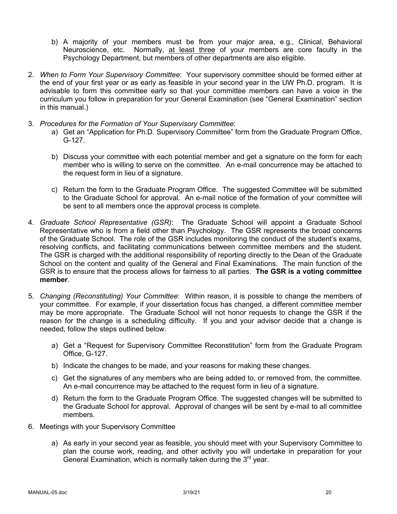- b) A majority of your members must be from your major area, e.g., Clinical, Behavioral Neuroscience, etc. Normally, at least three of your members are core faculty in the Psychology Department, but members of other departments are also eligible.
- 2. *When to Form Your Supervisory Committee*: Your supervisory committee should be formed either at the end of your first year or as early as feasible in your second year in the UW Ph.D. program. It is advisable to form this committee early so that your committee members can have a voice in the curriculum you follow in preparation for your General Examination (see "General Examination" section in this manual.)
- 3. *Procedures for the Formation of Your Supervisory Committee*:
	- a) Get an "Application for Ph.D. Supervisory Committee" form from the Graduate Program Office, G-127.
	- b) Discuss your committee with each potential member and get a signature on the form for each member who is willing to serve on the committee. An e-mail concurrence may be attached to the request form in lieu of a signature.
	- c) Return the form to the Graduate Program Office. The suggested Committee will be submitted to the Graduate School for approval. An e-mail notice of the formation of your committee will be sent to all members once the approval process is complete.
- 4. *Graduate School Representative (GSR)*: The Graduate School will appoint a Graduate School Representative who is from a field other than Psychology. The GSR represents the broad concerns of the Graduate School. The role of the GSR includes monitoring the conduct of the student's exams, resolving conflicts, and facilitating communications between committee members and the student. The GSR is charged with the additional responsibility of reporting directly to the Dean of the Graduate School on the content and quality of the General and Final Examinations. The main function of the GSR is to ensure that the process allows for fairness to all parties. **The GSR is a voting committee member**.
- 5. *Changing (Reconstituting) Your Committee*: Within reason, it is possible to change the members of your committee. For example, if your dissertation focus has changed, a different committee member may be more appropriate. The Graduate School will not honor requests to change the GSR if the reason for the change is a scheduling difficulty. If you and your advisor decide that a change is needed, follow the steps outlined below.
	- a) Get a "Request for Supervisory Committee Reconstitution" form from the Graduate Program Office, G-127.
	- b) Indicate the changes to be made, and your reasons for making these changes.
	- c) Get the signatures of any members who are being added to, or removed from, the committee. An e-mail concurrence may be attached to the request form in lieu of a signature.
	- d) Return the form to the Graduate Program Office. The suggested changes will be submitted to the Graduate School for approval. Approval of changes will be sent by e-mail to all committee members.
- 6. Meetings with your Supervisory Committee
	- a) As early in your second year as feasible, you should meet with your Supervisory Committee to plan the course work, reading, and other activity you will undertake in preparation for your General Examination, which is normally taken during the  $3<sup>rd</sup>$  year.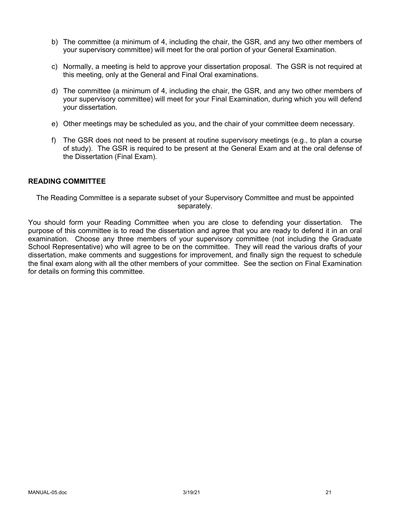- b) The committee (a minimum of 4, including the chair, the GSR, and any two other members of your supervisory committee) will meet for the oral portion of your General Examination.
- c) Normally, a meeting is held to approve your dissertation proposal. The GSR is not required at this meeting, only at the General and Final Oral examinations.
- d) The committee (a minimum of 4, including the chair, the GSR, and any two other members of your supervisory committee) will meet for your Final Examination, during which you will defend your dissertation.
- e) Other meetings may be scheduled as you, and the chair of your committee deem necessary.
- f) The GSR does not need to be present at routine supervisory meetings (e.g., to plan a course of study). The GSR is required to be present at the General Exam and at the oral defense of the Dissertation (Final Exam).

#### **READING COMMITTEE**

The Reading Committee is a separate subset of your Supervisory Committee and must be appointed separately.

You should form your Reading Committee when you are close to defending your dissertation. The purpose of this committee is to read the dissertation and agree that you are ready to defend it in an oral examination. Choose any three members of your supervisory committee (not including the Graduate School Representative) who will agree to be on the committee. They will read the various drafts of your dissertation, make comments and suggestions for improvement, and finally sign the request to schedule the final exam along with all the other members of your committee. See the section on Final Examination for details on forming this committee.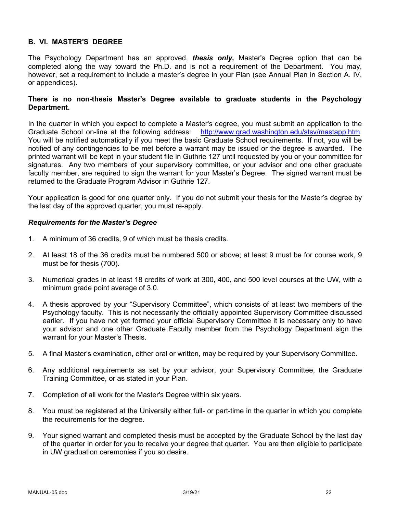#### **B. VI. MASTER'S DEGREE**

The Psychology Department has an approved, *thesis only,* Master's Degree option that can be completed along the way toward the Ph.D. and is not a requirement of the Department. You may, however, set a requirement to include a master's degree in your Plan (see Annual Plan in Section A. IV, or appendices).

#### **There is no non-thesis Master's Degree available to graduate students in the Psychology Department.**

In the quarter in which you expect to complete a Master's degree, you must submit an application to the Graduate School on-line at the following address: http://www.grad.washington.edu/stsv/mastapp.htm. You will be notified automatically if you meet the basic Graduate School requirements. If not, you will be notified of any contingencies to be met before a warrant may be issued or the degree is awarded. The printed warrant will be kept in your student file in Guthrie 127 until requested by you or your committee for signatures. Any two members of your supervisory committee, or your advisor and one other graduate faculty member, are required to sign the warrant for your Master's Degree. The signed warrant must be returned to the Graduate Program Advisor in Guthrie 127.

Your application is good for one quarter only. If you do not submit your thesis for the Master's degree by the last day of the approved quarter, you must re-apply.

#### *Requirements for the Master's Degree*

- 1. A minimum of 36 credits, 9 of which must be thesis credits.
- 2. At least 18 of the 36 credits must be numbered 500 or above; at least 9 must be for course work, 9 must be for thesis (700).
- 3. Numerical grades in at least 18 credits of work at 300, 400, and 500 level courses at the UW, with a minimum grade point average of 3.0.
- 4. A thesis approved by your "Supervisory Committee", which consists of at least two members of the Psychology faculty. This is not necessarily the officially appointed Supervisory Committee discussed earlier. If you have not yet formed your official Supervisory Committee it is necessary only to have your advisor and one other Graduate Faculty member from the Psychology Department sign the warrant for your Master's Thesis.
- 5. A final Master's examination, either oral or written, may be required by your Supervisory Committee.
- 6. Any additional requirements as set by your advisor, your Supervisory Committee, the Graduate Training Committee, or as stated in your Plan.
- 7. Completion of all work for the Master's Degree within six years.
- 8. You must be registered at the University either full- or part-time in the quarter in which you complete the requirements for the degree.
- 9. Your signed warrant and completed thesis must be accepted by the Graduate School by the last day of the quarter in order for you to receive your degree that quarter. You are then eligible to participate in UW graduation ceremonies if you so desire.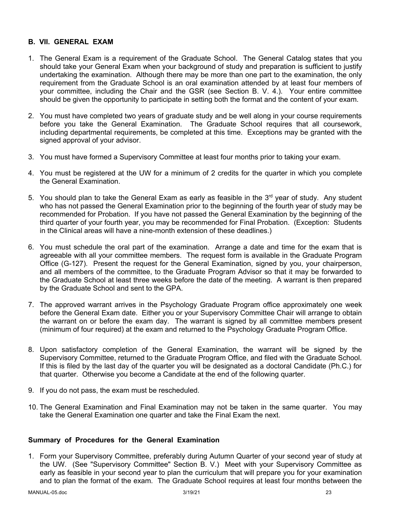#### **B. VII. GENERAL EXAM**

- 1. The General Exam is a requirement of the Graduate School. The General Catalog states that you should take your General Exam when your background of study and preparation is sufficient to justify undertaking the examination. Although there may be more than one part to the examination, the only requirement from the Graduate School is an oral examination attended by at least four members of your committee, including the Chair and the GSR (see Section B. V. 4.). Your entire committee should be given the opportunity to participate in setting both the format and the content of your exam.
- 2. You must have completed two years of graduate study and be well along in your course requirements before you take the General Examination. The Graduate School requires that all coursework, including departmental requirements, be completed at this time. Exceptions may be granted with the signed approval of your advisor.
- 3. You must have formed a Supervisory Committee at least four months prior to taking your exam.
- 4. You must be registered at the UW for a minimum of 2 credits for the quarter in which you complete the General Examination.
- 5. You should plan to take the General Exam as early as feasible in the  $3<sup>rd</sup>$  year of study. Any student who has not passed the General Examination prior to the beginning of the fourth year of study may be recommended for Probation. If you have not passed the General Examination by the beginning of the third quarter of your fourth year, you may be recommended for Final Probation. (Exception: Students in the Clinical areas will have a nine-month extension of these deadlines.)
- 6. You must schedule the oral part of the examination. Arrange a date and time for the exam that is agreeable with all your committee members. The request form is available in the Graduate Program Office (G-127). Present the request for the General Examination, signed by you, your chairperson, and all members of the committee, to the Graduate Program Advisor so that it may be forwarded to the Graduate School at least three weeks before the date of the meeting. A warrant is then prepared by the Graduate School and sent to the GPA.
- 7. The approved warrant arrives in the Psychology Graduate Program office approximately one week before the General Exam date. Either you or your Supervisory Committee Chair will arrange to obtain the warrant on or before the exam day. The warrant is signed by all committee members present (minimum of four required) at the exam and returned to the Psychology Graduate Program Office.
- 8. Upon satisfactory completion of the General Examination, the warrant will be signed by the Supervisory Committee, returned to the Graduate Program Office, and filed with the Graduate School. If this is filed by the last day of the quarter you will be designated as a doctoral Candidate (Ph.C.) for that quarter. Otherwise you become a Candidate at the end of the following quarter.
- 9. If you do not pass, the exam must be rescheduled.
- 10. The General Examination and Final Examination may not be taken in the same quarter. You may take the General Examination one quarter and take the Final Exam the next.

#### **Summary of Procedures for the General Examination**

1. Form your Supervisory Committee, preferably during Autumn Quarter of your second year of study at the UW. (See "Supervisory Committee" Section B. V.) Meet with your Supervisory Committee as early as feasible in your second year to plan the curriculum that will prepare you for your examination and to plan the format of the exam. The Graduate School requires at least four months between the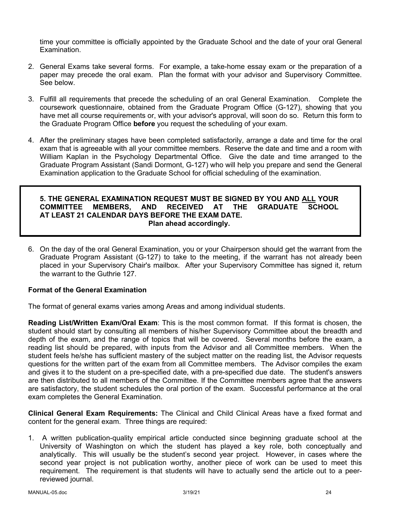time your committee is officially appointed by the Graduate School and the date of your oral General Examination.

- 2. General Exams take several forms. For example, a take-home essay exam or the preparation of a paper may precede the oral exam. Plan the format with your advisor and Supervisory Committee. See below.
- 3. Fulfill all requirements that precede the scheduling of an oral General Examination. Complete the coursework questionnaire, obtained from the Graduate Program Office (G-127), showing that you have met all course requirements or, with your advisor's approval, will soon do so. Return this form to the Graduate Program Office **before** you request the scheduling of your exam.
- 4. After the preliminary stages have been completed satisfactorily, arrange a date and time for the oral exam that is agreeable with all your committee members. Reserve the date and time and a room with William Kaplan in the Psychology Departmental Office. Give the date and time arranged to the Graduate Program Assistant (Sandi Dormont, G-127) who will help you prepare and send the General Examination application to the Graduate School for official scheduling of the examination.

#### **5. THE GENERAL EXAMINATION REQUEST MUST BE SIGNED BY YOU AND ALL YOUR COMMITTEE MEMBERS, AND RECEIVED AT THE GRADUATE SCHOOL AT LEAST 21 CALENDAR DAYS BEFORE THE EXAM DATE. Plan ahead accordingly.**

6. On the day of the oral General Examination, you or your Chairperson should get the warrant from the Graduate Program Assistant (G-127) to take to the meeting, if the warrant has not already been placed in your Supervisory Chair's mailbox. After your Supervisory Committee has signed it, return the warrant to the Guthrie 127.

### **Format of the General Examination**

The format of general exams varies among Areas and among individual students.

**Reading List/Written Exam/Oral Exam**: This is the most common format. If this format is chosen, the student should start by consulting all members of his/her Supervisory Committee about the breadth and depth of the exam, and the range of topics that will be covered. Several months before the exam, a reading list should be prepared, with inputs from the Advisor and all Committee members. When the student feels he/she has sufficient mastery of the subject matter on the reading list, the Advisor requests questions for the written part of the exam from all Committee members. The Advisor compiles the exam and gives it to the student on a pre-specified date, with a pre-specified due date. The student's answers are then distributed to all members of the Committee. If the Committee members agree that the answers are satisfactory, the student schedules the oral portion of the exam. Successful performance at the oral exam completes the General Examination.

**Clinical General Exam Requirements:** The Clinical and Child Clinical Areas have a fixed format and content for the general exam. Three things are required:

1. A written publication-quality empirical article conducted since beginning graduate school at the University of Washington on which the student has played a key role, both conceptually and analytically. This will usually be the student's second year project. However, in cases where the second year project is not publication worthy, another piece of work can be used to meet this requirement. The requirement is that students will have to actually send the article out to a peerreviewed journal.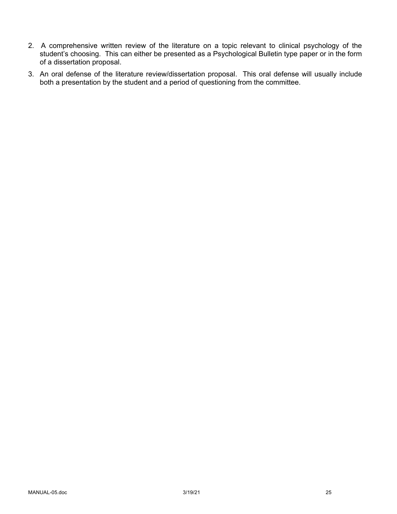- 2. A comprehensive written review of the literature on a topic relevant to clinical psychology of the student's choosing. This can either be presented as a Psychological Bulletin type paper or in the form of a dissertation proposal.
- 3. An oral defense of the literature review/dissertation proposal. This oral defense will usually include both a presentation by the student and a period of questioning from the committee.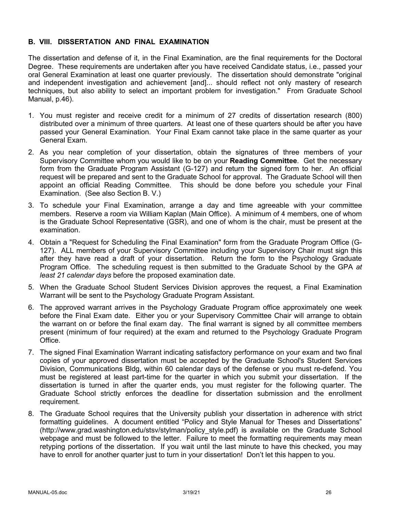#### **B. VIII. DISSERTATION AND FINAL EXAMINATION**

The dissertation and defense of it, in the Final Examination, are the final requirements for the Doctoral Degree. These requirements are undertaken after you have received Candidate status, i.e., passed your oral General Examination at least one quarter previously. The dissertation should demonstrate "original and independent investigation and achievement [and]... should reflect not only mastery of research techniques, but also ability to select an important problem for investigation." From Graduate School Manual, p.46).

- 1. You must register and receive credit for a minimum of 27 credits of dissertation research (800) distributed over a minimum of three quarters. At least one of these quarters should be after you have passed your General Examination. Your Final Exam cannot take place in the same quarter as your General Exam.
- 2. As you near completion of your dissertation, obtain the signatures of three members of your Supervisory Committee whom you would like to be on your **Reading Committee**. Get the necessary form from the Graduate Program Assistant (G-127) and return the signed form to her. An official request will be prepared and sent to the Graduate School for approval. The Graduate School will then appoint an official Reading Committee. This should be done before you schedule your Final Examination. (See also Section B. V.)
- 3. To schedule your Final Examination, arrange a day and time agreeable with your committee members. Reserve a room via William Kaplan (Main Office). A minimum of 4 members, one of whom is the Graduate School Representative (GSR), and one of whom is the chair, must be present at the examination.
- 4. Obtain a "Request for Scheduling the Final Examination" form from the Graduate Program Office (G-127). ALL members of your Supervisory Committee including your Supervisory Chair must sign this after they have read a draft of your dissertation. Return the form to the Psychology Graduate Program Office. The scheduling request is then submitted to the Graduate School by the GPA *at least 21 calendar days* before the proposed examination date.
- 5. When the Graduate School Student Services Division approves the request, a Final Examination Warrant will be sent to the Psychology Graduate Program Assistant.
- 6. The approved warrant arrives in the Psychology Graduate Program office approximately one week before the Final Exam date. Either you or your Supervisory Committee Chair will arrange to obtain the warrant on or before the final exam day. The final warrant is signed by all committee members present (minimum of four required) at the exam and returned to the Psychology Graduate Program Office.
- 7. The signed Final Examination Warrant indicating satisfactory performance on your exam and two final copies of your approved dissertation must be accepted by the Graduate School's Student Services Division, Communications Bldg, within 60 calendar days of the defense or you must re-defend. You must be registered at least part-time for the quarter in which you submit your dissertation. If the dissertation is turned in after the quarter ends, you must register for the following quarter. The Graduate School strictly enforces the deadline for dissertation submission and the enrollment requirement.
- 8. The Graduate School requires that the University publish your dissertation in adherence with strict formatting guidelines. A document entitled "Policy and Style Manual for Theses and Dissertations" (http://www.grad.washington.edu/stsv/stylman/policy\_style.pdf) is available on the Graduate School webpage and must be followed to the letter. Failure to meet the formatting requirements may mean retyping portions of the dissertation. If you wait until the last minute to have this checked, you may have to enroll for another quarter just to turn in your dissertation! Don't let this happen to you.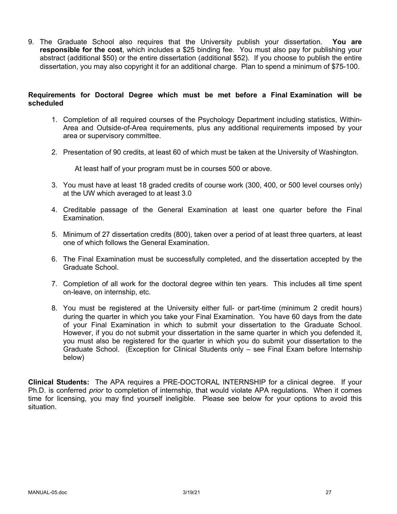9. The Graduate School also requires that the University publish your dissertation. **You are responsible for the cost**, which includes a \$25 binding fee. You must also pay for publishing your abstract (additional \$50) or the entire dissertation (additional \$52). If you choose to publish the entire dissertation, you may also copyright it for an additional charge. Plan to spend a minimum of \$75-100.

#### **Requirements for Doctoral Degree which must be met before a Final Examination will be scheduled**

- 1. Completion of all required courses of the Psychology Department including statistics, Within-Area and Outside-of-Area requirements, plus any additional requirements imposed by your area or supervisory committee.
- 2. Presentation of 90 credits, at least 60 of which must be taken at the University of Washington.

At least half of your program must be in courses 500 or above.

- 3. You must have at least 18 graded credits of course work (300, 400, or 500 level courses only) at the UW which averaged to at least 3.0
- 4. Creditable passage of the General Examination at least one quarter before the Final Examination.
- 5. Minimum of 27 dissertation credits (800), taken over a period of at least three quarters, at least one of which follows the General Examination.
- 6. The Final Examination must be successfully completed, and the dissertation accepted by the Graduate School.
- 7. Completion of all work for the doctoral degree within ten years. This includes all time spent on-leave, on internship, etc.
- 8. You must be registered at the University either full- or part-time (minimum 2 credit hours) during the quarter in which you take your Final Examination. You have 60 days from the date of your Final Examination in which to submit your dissertation to the Graduate School. However, if you do not submit your dissertation in the same quarter in which you defended it, you must also be registered for the quarter in which you do submit your dissertation to the Graduate School. (Exception for Clinical Students only – see Final Exam before Internship below)

**Clinical Students:** The APA requires a PRE-DOCTORAL INTERNSHIP for a clinical degree. If your Ph.D. is conferred *prior* to completion of internship, that would violate APA regulations. When it comes time for licensing, you may find yourself ineligible. Please see below for your options to avoid this situation.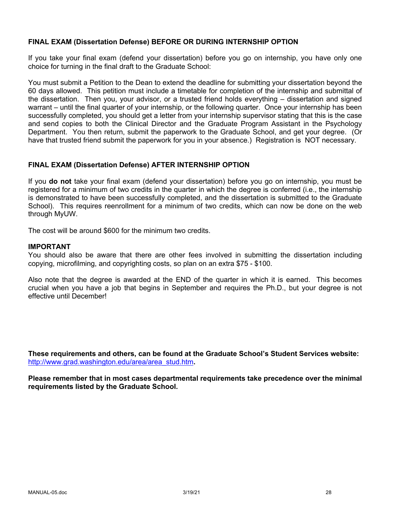#### **FINAL EXAM (Dissertation Defense) BEFORE OR DURING INTERNSHIP OPTION**

If you take your final exam (defend your dissertation) before you go on internship, you have only one choice for turning in the final draft to the Graduate School:

You must submit a Petition to the Dean to extend the deadline for submitting your dissertation beyond the 60 days allowed. This petition must include a timetable for completion of the internship and submittal of the dissertation. Then you, your advisor, or a trusted friend holds everything – dissertation and signed warrant – until the final quarter of your internship, or the following quarter. Once your internship has been successfully completed, you should get a letter from your internship supervisor stating that this is the case and send copies to both the Clinical Director and the Graduate Program Assistant in the Psychology Department. You then return, submit the paperwork to the Graduate School, and get your degree. (Or have that trusted friend submit the paperwork for you in your absence.) Registration is NOT necessary.

#### **FINAL EXAM (Dissertation Defense) AFTER INTERNSHIP OPTION**

If you **do not** take your final exam (defend your dissertation) before you go on internship, you must be registered for a minimum of two credits in the quarter in which the degree is conferred (i.e., the internship is demonstrated to have been successfully completed, and the dissertation is submitted to the Graduate School). This requires reenrollment for a minimum of two credits, which can now be done on the web through MyUW.

The cost will be around \$600 for the minimum two credits.

#### **IMPORTANT**

You should also be aware that there are other fees involved in submitting the dissertation including copying, microfilming, and copyrighting costs, so plan on an extra \$75 - \$100.

Also note that the degree is awarded at the END of the quarter in which it is earned. This becomes crucial when you have a job that begins in September and requires the Ph.D., but your degree is not effective until December!

**These requirements and others, can be found at the Graduate School's Student Services website:** http://www.grad.washington.edu/area/area\_stud.htm**.**

**Please remember that in most cases departmental requirements take precedence over the minimal requirements listed by the Graduate School.**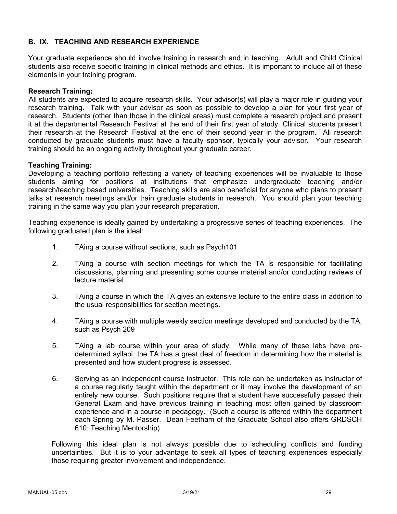### **B. IX. TEACHING AND RESEARCH EXPERIENCE**

Your graduate experience should involve training in research and in teaching. Adult and Child Clinical students also receive specific training in clinical methods and ethics. It is important to include all of these elements in your training program.

#### **Research Training:**

All students are expected to acquire research skills. Your advisor(s) will play a major role in guiding your research training. Talk with your advisor as soon as possible to develop a plan for your first year of research. Students (other than those in the clinical areas) must complete a research project and present it at the departmental Research Festival at the end of their first year of study. Clinical students present their research at the Research Festival at the end of their second year in the program. All research conducted by graduate students must have a faculty sponsor, typically your advisor. Your research training should be an ongoing activity throughout your graduate career.

#### **Teaching Training:**

Developing a teaching portfolio reflecting a variety of teaching experiences will be invaluable to those students aiming for positions at institutions that emphasize undergraduate teaching and/or research/teaching based universities. Teaching skills are also beneficial for anyone who plans to present talks at research meetings and/or train graduate students in research. You should plan your teaching training in the same way you plan your research preparation.

Teaching experience is ideally gained by undertaking a progressive series of teaching experiences. The following graduated plan is the ideal:

- 1. TAing a course without sections, such as Psych101
- 2. TAing a course with section meetings for which the TA is responsible for facilitating discussions, planning and presenting some course material and/or conducting reviews of lecture material.
- 3. TAing a course in which the TA gives an extensive lecture to the entire class in addition to the usual responsibilities for section meetings.
- 4. TAing a course with multiple weekly section meetings developed and conducted by the TA, such as Psych 209
- 5. TAing a lab course within your area of study. While many of these labs have predetermined syllabi, the TA has a great deal of freedom in determining how the material is presented and how student progress is assessed.
- 6. Serving as an independent course instructor. This role can be undertaken as instructor of a course regularly taught within the department or it may involve the development of an entirely new course. Such positions require that a student have successfully passed their General Exam and have previous training in teaching most often gained by classroom experience and in a course in pedagogy. (Such a course is offered within the department each Spring by M. Passer. Dean Feetham of the Graduate School also offers GRDSCH 610: Teaching Mentorship)

Following this ideal plan is not always possible due to scheduling conflicts and funding uncertainties. But it is to your advantage to seek all types of teaching experiences especially those requiring greater involvement and independence.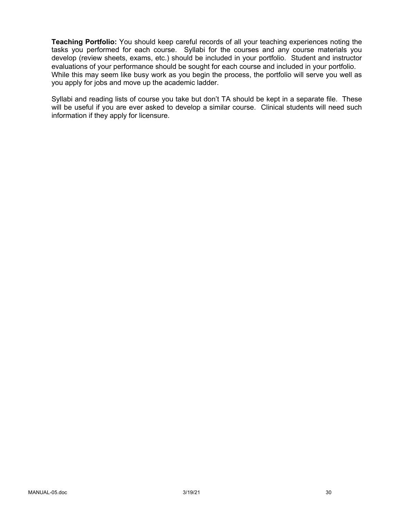**Teaching Portfolio:** You should keep careful records of all your teaching experiences noting the tasks you performed for each course. Syllabi for the courses and any course materials you develop (review sheets, exams, etc.) should be included in your portfolio. Student and instructor evaluations of your performance should be sought for each course and included in your portfolio. While this may seem like busy work as you begin the process, the portfolio will serve you well as you apply for jobs and move up the academic ladder.

Syllabi and reading lists of course you take but don't TA should be kept in a separate file. These will be useful if you are ever asked to develop a similar course. Clinical students will need such information if they apply for licensure.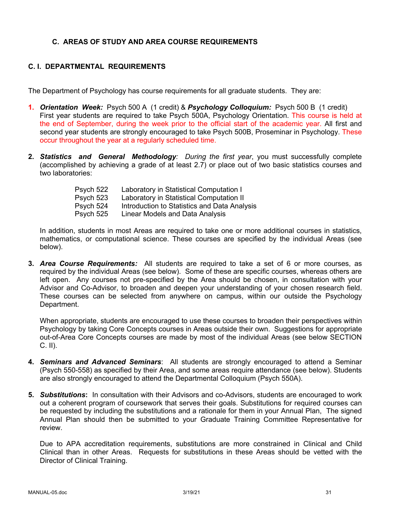### **C. AREAS OF STUDY AND AREA COURSE REQUIREMENTS**

### **C. I. DEPARTMENTAL REQUIREMENTS**

The Department of Psychology has course requirements for all graduate students. They are:

- **1.** *Orientation Week:* Psych 500 A (1 credit) & *Psychology Colloquium:* Psych 500 B (1 credit) First year students are required to take Psych 500A, Psychology Orientation. This course is held at the end of September, during the week prior to the official start of the academic year. All first and second year students are strongly encouraged to take Psych 500B, Proseminar in Psychology. These occur throughout the year at a regularly scheduled time.
- **2.** *Statistics and General Methodology: During the first year*, you must successfully complete (accomplished by achieving a grade of at least 2.7) or place out of two basic statistics courses and two laboratories:

| Psych 522 | Laboratory in Statistical Computation I      |
|-----------|----------------------------------------------|
| Psych 523 | Laboratory in Statistical Computation II     |
| Psych 524 | Introduction to Statistics and Data Analysis |
| Psych 525 | Linear Models and Data Analysis              |

In addition, students in most Areas are required to take one or more additional courses in statistics, mathematics, or computational science. These courses are specified by the individual Areas (see below).

**3.** *Area Course Requirements:* All students are required to take a set of 6 or more courses, as required by the individual Areas (see below). Some of these are specific courses, whereas others are left open. Any courses not pre-specified by the Area should be chosen, in consultation with your Advisor and Co-Advisor, to broaden and deepen your understanding of your chosen research field. These courses can be selected from anywhere on campus, within our outside the Psychology Department.

When appropriate, students are encouraged to use these courses to broaden their perspectives within Psychology by taking Core Concepts courses in Areas outside their own. Suggestions for appropriate out-of-Area Core Concepts courses are made by most of the individual Areas (see below SECTION C. II).

- **4.** *Seminars and Advanced Seminars*: All students are strongly encouraged to attend a Seminar (Psych 550-558) as specified by their Area, and some areas require attendance (see below). Students are also strongly encouraged to attend the Departmental Colloquium (Psych 550A).
- **5.** *Substitutions***:** In consultation with their Advisors and co-Advisors, students are encouraged to work out a coherent program of coursework that serves their goals. Substitutions for required courses can be requested by including the substitutions and a rationale for them in your Annual Plan, The signed Annual Plan should then be submitted to your Graduate Training Committee Representative for review.

Due to APA accreditation requirements, substitutions are more constrained in Clinical and Child Clinical than in other Areas. Requests for substitutions in these Areas should be vetted with the Director of Clinical Training.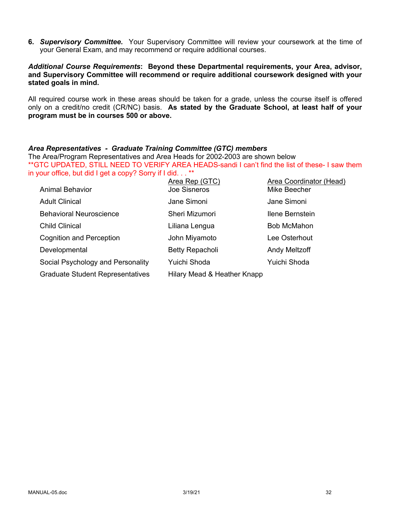**6.** *Supervisory Committee.* Your Supervisory Committee will review your coursework at the time of your General Exam, and may recommend or require additional courses.

#### *Additional Course Requirements***: Beyond these Departmental requirements, your Area, advisor, and Supervisory Committee will recommend or require additional coursework designed with your stated goals in mind.**

All required course work in these areas should be taken for a grade, unless the course itself is offered only on a credit/no credit (CR/NC) basis. **As stated by the Graduate School, at least half of your program must be in courses 500 or above.**

#### *Area Representatives - Graduate Training Committee (GTC) members*

The Area/Program Representatives and Area Heads for 2002-2003 are shown below \*\*GTC UPDATED, STILL NEED TO VERIFY AREA HEADS-sandi I can't find the list of these- I saw them in your office, but did I get a copy? Sorry if I did. . . \*\*

| <b>Animal Behavior</b>                  | Area Rep (GTC)<br><b>Joe Sisneros</b> | Area Coordinator (Head)<br>Mike Beecher |
|-----------------------------------------|---------------------------------------|-----------------------------------------|
| <b>Adult Clinical</b>                   | Jane Simoni                           | Jane Simoni                             |
| <b>Behavioral Neuroscience</b>          | Sheri Mizumori                        | Ilene Bernstein                         |
| <b>Child Clinical</b>                   | Liliana Lengua                        | <b>Bob McMahon</b>                      |
| <b>Cognition and Perception</b>         | John Miyamoto                         | Lee Osterhout                           |
| Developmental                           | Betty Repacholi                       | Andy Meltzoff                           |
| Social Psychology and Personality       | Yuichi Shoda                          | Yuichi Shoda                            |
| <b>Graduate Student Representatives</b> | Hilary Mead & Heather Knapp           |                                         |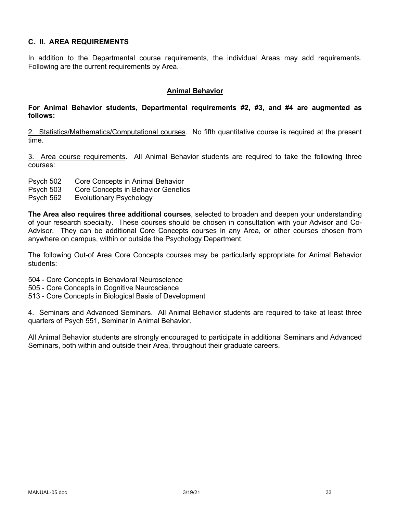### **C. II. AREA REQUIREMENTS**

In addition to the Departmental course requirements, the individual Areas may add requirements. Following are the current requirements by Area.

#### **Animal Behavior**

#### **For Animal Behavior students, Departmental requirements #2, #3, and #4 are augmented as follows:**

2. Statistics/Mathematics/Computational courses. No fifth quantitative course is required at the present time.

3. Area course requirements. All Animal Behavior students are required to take the following three courses:

- Psych 502 Core Concepts in Animal Behavior
- Psych 503 Core Concepts in Behavior Genetics
- Psych 562 Evolutionary Psychology

**The Area also requires three additional courses**, selected to broaden and deepen your understanding of your research specialty. These courses should be chosen in consultation with your Advisor and Co-Advisor. They can be additional Core Concepts courses in any Area, or other courses chosen from anywhere on campus, within or outside the Psychology Department.

The following Out-of Area Core Concepts courses may be particularly appropriate for Animal Behavior students:

504 - Core Concepts in Behavioral Neuroscience

- 505 Core Concepts in Cognitive Neuroscience
- 513 Core Concepts in Biological Basis of Development

4. Seminars and Advanced Seminars. All Animal Behavior students are required to take at least three quarters of Psych 551, Seminar in Animal Behavior.

All Animal Behavior students are strongly encouraged to participate in additional Seminars and Advanced Seminars, both within and outside their Area, throughout their graduate careers.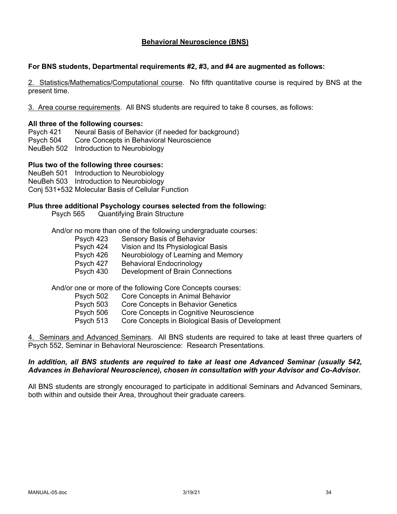#### **Behavioral Neuroscience (BNS)**

#### **For BNS students, Departmental requirements #2, #3, and #4 are augmented as follows:**

2. Statistics/Mathematics/Computational course. No fifth quantitative course is required by BNS at the present time.

3. Area course requirements. All BNS students are required to take 8 courses, as follows:

#### **All three of the following courses:**

Psych 421 Neural Basis of Behavior (if needed for background) Psych 504 Core Concepts in Behavioral Neuroscience NeuBeh 502 Introduction to Neurobiology

#### **Plus two of the following three courses:**

NeuBeh 501 Introduction to Neurobiology NeuBeh 503 Introduction to Neurobiology Conj 531+532 Molecular Basis of Cellular Function

#### **Plus three additional Psychology courses selected from the following:**

Psych 565 Quantifying Brain Structure

And/or no more than one of the following undergraduate courses:

- Psych 423 Sensory Basis of Behavior
- Psych 424 Vision and Its Physiological Basis
- Psych 426 Neurobiology of Learning and Memory
- Psych 427 Behavioral Endocrinology
- Psych 430 Development of Brain Connections

And/or one or more of the following Core Concepts courses:

- Psych 502 Core Concepts in Animal Behavior
- Psych 503 Core Concepts in Behavior Genetics
- Psych 506 Core Concepts in Cognitive Neuroscience
- Psych 513 Core Concepts in Biological Basis of Development

4. Seminars and Advanced Seminars. All BNS students are required to take at least three quarters of Psych 552, Seminar in Behavioral Neuroscience: Research Presentations.

#### *In addition, all BNS students are required to take at least one Advanced Seminar (usually 542, Advances in Behavioral Neuroscience), chosen in consultation with your Advisor and Co-Advisor.*

All BNS students are strongly encouraged to participate in additional Seminars and Advanced Seminars, both within and outside their Area, throughout their graduate careers.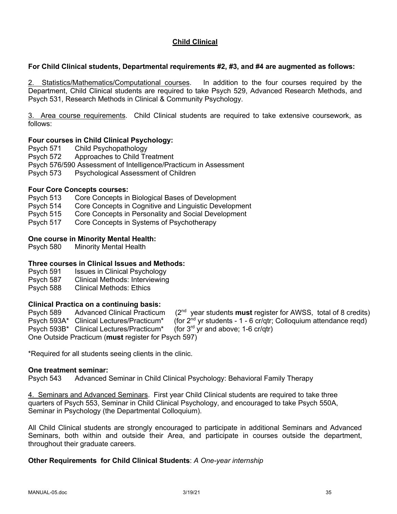### **Child Clinical**

#### **For Child Clinical students, Departmental requirements #2, #3, and #4 are augmented as follows:**

2. Statistics/Mathematics/Computational courses. In addition to the four courses required by the Department, Child Clinical students are required to take Psych 529, Advanced Research Methods, and Psych 531, Research Methods in Clinical & Community Psychology.

3. Area course requirements. Child Clinical students are required to take extensive coursework, as follows:

#### **Four courses in Child Clinical Psychology:**

Psych 571 Child Psychopathology

Psych 572 Approaches to Child Treatment

- Psych 576/590 Assessment of Intelligence/Practicum in Assessment
- Psych 573 Psychological Assessment of Children

#### **Four Core Concepts courses:**

- Psych 513 Core Concepts in Biological Bases of Development
- Psych 514 Core Concepts in Cognitive and Linguistic Development
- Psych 515 Core Concepts in Personality and Social Development
- Psych 517 Core Concepts in Systems of Psychotherapy

#### **One course in Minority Mental Health:**

Psych 580 Minority Mental Health

#### **Three courses in Clinical Issues and Methods:**

- Psych 591 Issues in Clinical Psychology
- Psych 587 Clinical Methods: Interviewing
- Psych 588 Clinical Methods: Ethics

### **Clinical Practica on a continuing basis:**

589 Psych 589 Advanced Clinical Practicum (2nd year students **must** register for AWSS, total of 8 credits) Psych 593A\* Clinical Lectures/Practicum\* (for  $2^{nd}$  yr students - 1 - 6 cr/qtr; Colloquium attendance reqd)<br>Psych 593B\* Clinical Lectures/Practicum\* (for  $3^{rd}$  yr and above; 1-6 cr/qtr) Psych 593B\* Clinical Lectures/Practicum\* One Outside Practicum (**must** register for Psych 597)

\*Required for all students seeing clients in the clinic.

#### **One treatment seminar:**

Psych 543 Advanced Seminar in Child Clinical Psychology: Behavioral Family Therapy

4. Seminars and Advanced Seminars. First year Child Clinical students are required to take three quarters of Psych 553, Seminar in Child Clinical Psychology, and encouraged to take Psych 550A, Seminar in Psychology (the Departmental Colloquium).

All Child Clinical students are strongly encouraged to participate in additional Seminars and Advanced Seminars, both within and outside their Area, and participate in courses outside the department, throughout their graduate careers.

#### **Other Requirements for Child Clinical Students**: *A One-year internship*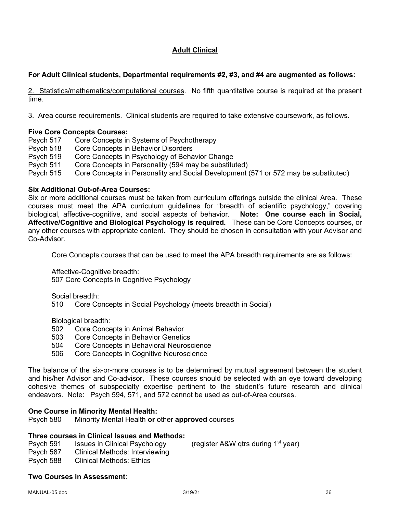## **Adult Clinical**

### **For Adult Clinical students, Departmental requirements #2, #3, and #4 are augmented as follows:**

2. Statistics/mathematics/computational courses. No fifth quantitative course is required at the present time.

3. Area course requirements. Clinical students are required to take extensive coursework, as follows.

### **Five Core Concepts Courses:**

Psych 517 Core Concepts in Systems of Psychotherapy

- Psych 518 Core Concepts in Behavior Disorders
- Psych 519 Core Concepts in Psychology of Behavior Change
- Psych 511 Core Concepts in Personality (594 may be substituted)
- Psych 515 Core Concepts in Personality and Social Development (571 or 572 may be substituted)

#### **Six Additional Out-of-Area Courses:**

Six or more additional courses must be taken from curriculum offerings outside the clinical Area. These courses must meet the APA curriculum guidelines for "breadth of scientific psychology," covering biological, affective-cognitive, and social aspects of behavior. **Note: One course each in Social, Affective/Cognitive and Biological Psychology is required***.* These can be Core Concepts courses, or any other courses with appropriate content. They should be chosen in consultation with your Advisor and Co-Advisor.

Core Concepts courses that can be used to meet the APA breadth requirements are as follows:

Affective-Cognitive breadth:

507 Core Concepts in Cognitive Psychology

Social breadth:

510 Core Concepts in Social Psychology (meets breadth in Social)

Biological breadth:

- 502 Core Concepts in Animal Behavior
- 503 Core Concepts in Behavior Genetics
- 504 Core Concepts in Behavioral Neuroscience
- 506 Core Concepts in Cognitive Neuroscience

The balance of the six-or-more courses is to be determined by mutual agreement between the student and his/her Advisor and Co-advisor. These courses should be selected with an eye toward developing cohesive themes of subspecialty expertise pertinent to the student's future research and clinical endeavors. Note: Psych 594, 571, and 572 cannot be used as out-of-Area courses.

### **One Course in Minority Mental Health:**

Psych 580 Minority Mental Health **or** other **approved** courses

### **Three courses in Clinical Issues and Methods:**

- Psych 591 Issues in Clinical Psychology (register A&W gtrs during 1<sup>st</sup> year)
- Psych 587 Clinical Methods: Interviewing
- Psych 588 Clinical Methods: Ethics

### **Two Courses in Assessment**: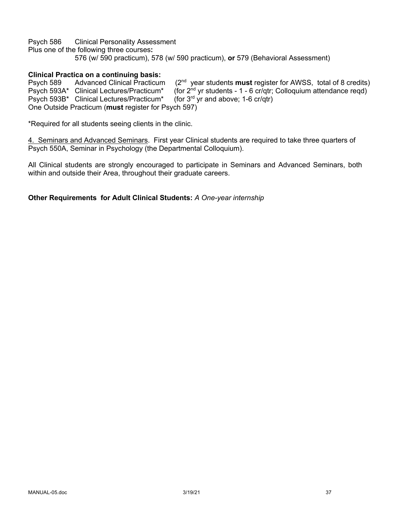Psych 586 Clinical Personality Assessment Plus one of the following three courses**:**  576 (w/ 590 practicum), 578 (w/ 590 practicum), **or** 579 (Behavioral Assessment)

### **Clinical Practica on a continuing basis:**

Psych 589 Advanced Clinical Practicum (2<sup>nd</sup> year students **must** register for AWSS, total of 8 credits)<br>Psych 593A\* Clinical Lectures/Practicum\* (for 2<sup>nd</sup> vr students - 1 - 6 cr/atr: Colloguium attendance read) (for  $2^{nd}$  yr students - 1 - 6 cr/qtr; Colloquium attendance reqd)<br>(for  $3^{rd}$  yr and above; 1-6 cr/qtr) Psych 593B\* Clinical Lectures/Practicum\* One Outside Practicum (**must** register for Psych 597)

\*Required for all students seeing clients in the clinic.

4. Seminars and Advanced Seminars. First year Clinical students are required to take three quarters of Psych 550A, Seminar in Psychology (the Departmental Colloquium).

All Clinical students are strongly encouraged to participate in Seminars and Advanced Seminars, both within and outside their Area, throughout their graduate careers.

**Other Requirements for Adult Clinical Students:** *A One-year internship*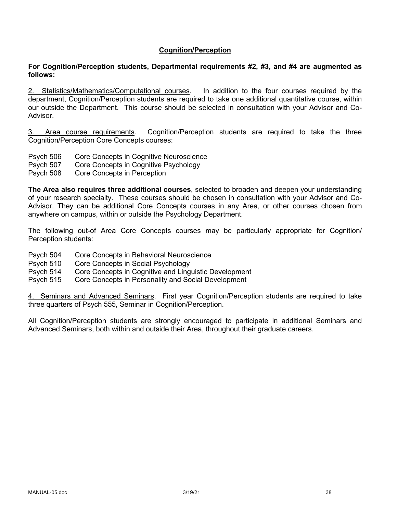#### **Cognition/Perception**

#### **For Cognition/Perception students, Departmental requirements #2, #3, and #4 are augmented as follows:**

2. Statistics/Mathematics/Computational courses. In addition to the four courses required by the department, Cognition/Perception students are required to take one additional quantitative course, within our outside the Department. This course should be selected in consultation with your Advisor and Co-Advisor.

3. Area course requirements. Cognition/Perception students are required to take the three Cognition/Perception Core Concepts courses:

- Psych 506 Core Concepts in Cognitive Neuroscience
- Psych 507 Core Concepts in Cognitive Psychology
- Psych 508 Core Concepts in Perception

**The Area also requires three additional courses**, selected to broaden and deepen your understanding of your research specialty. These courses should be chosen in consultation with your Advisor and Co-Advisor. They can be additional Core Concepts courses in any Area, or other courses chosen from anywhere on campus, within or outside the Psychology Department.

The following out-of Area Core Concepts courses may be particularly appropriate for Cognition/ Perception students:

- Psych 504 Core Concepts in Behavioral Neuroscience
- Psych 510 Core Concepts in Social Psychology
- Psych 514 Core Concepts in Cognitive and Linguistic Development
- Psych 515 Core Concepts in Personality and Social Development

4. Seminars and Advanced Seminars. First year Cognition/Perception students are required to take three quarters of Psych 555, Seminar in Cognition/Perception.

All Cognition/Perception students are strongly encouraged to participate in additional Seminars and Advanced Seminars, both within and outside their Area, throughout their graduate careers.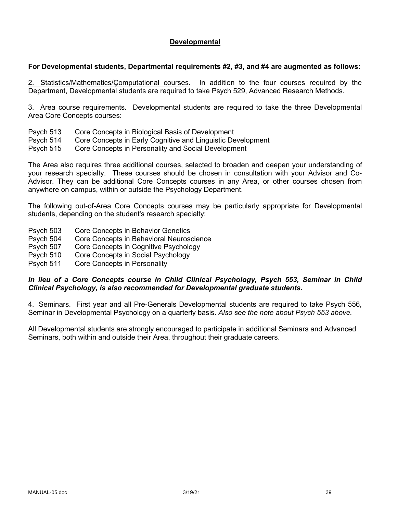#### **Developmental**

#### **For Developmental students, Departmental requirements #2, #3, and #4 are augmented as follows:**

2. Statistics/Mathematics/Çomputational courses. In addition to the four courses required by the Department, Developmental students are required to take Psych 529, Advanced Research Methods.

3. Area course requirements. Developmental students are required to take the three Developmental Area Core Concepts courses:

- Psych 513 Core Concepts in Biological Basis of Development
- Psych 514 Core Concepts in Early Cognitive and Linguistic Development
- Psych 515 Core Concepts in Personality and Social Development

The Area also requires three additional courses, selected to broaden and deepen your understanding of your research specialty. These courses should be chosen in consultation with your Advisor and Co-Advisor. They can be additional Core Concepts courses in any Area, or other courses chosen from anywhere on campus, within or outside the Psychology Department.

The following out-of-Area Core Concepts courses may be particularly appropriate for Developmental students, depending on the student's research specialty:

- Psych 503 Core Concepts in Behavior Genetics
- Psych 504 Core Concepts in Behavioral Neuroscience
- Psych 507 Core Concepts in Cognitive Psychology
- Psych 510 Core Concepts in Social Psychology
- Psych 511 Core Concepts in Personality

#### *In lieu of a Core Concepts course in Child Clinical Psychology, Psych 553, Seminar in Child Clinical Psychology, is also recommended for Developmental graduate students.*

4. Seminars. First year and all Pre-Generals Developmental students are required to take Psych 556, Seminar in Developmental Psychology on a quarterly basis. *Also see the note about Psych 553 above.* 

All Developmental students are strongly encouraged to participate in additional Seminars and Advanced Seminars, both within and outside their Area, throughout their graduate careers.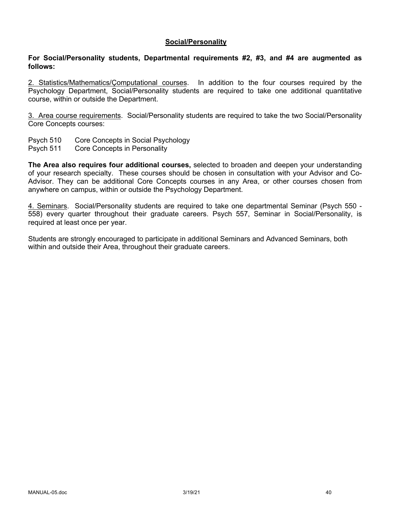#### **Social/Personality**

#### **For Social/Personality students, Departmental requirements #2, #3, and #4 are augmented as follows:**

2. Statistics/Mathematics/Çomputational courses. In addition to the four courses required by the Psychology Department, Social/Personality students are required to take one additional quantitative course, within or outside the Department.

3. Area course requirements. Social/Personality students are required to take the two Social/Personality Core Concepts courses:

- Psych 510 Core Concepts in Social Psychology
- Psych 511 Core Concepts in Personality

**The Area also requires four additional courses,** selected to broaden and deepen your understanding of your research specialty. These courses should be chosen in consultation with your Advisor and Co-Advisor. They can be additional Core Concepts courses in any Area, or other courses chosen from anywhere on campus, within or outside the Psychology Department.

4. Seminars. Social/Personality students are required to take one departmental Seminar (Psych 550 - 558) every quarter throughout their graduate careers. Psych 557, Seminar in Social/Personality, is required at least once per year.

Students are strongly encouraged to participate in additional Seminars and Advanced Seminars, both within and outside their Area, throughout their graduate careers.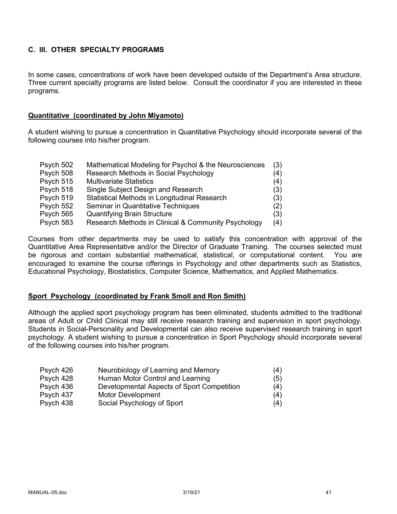## **C. III. OTHER SPECIALTY PROGRAMS**

In some cases, concentrations of work have been developed outside of the Department's Area structure. Three current specialty programs are listed below. Consult the coordinator if you are interested in these programs.

#### **Quantitative (coordinated by John Miyamoto)**

A student wishing to pursue a concentration in Quantitative Psychology should incorporate several of the following courses into his/her program.

| Psych 502 | Mathematical Modeling for Psychol & the Neurosciences | (3) |
|-----------|-------------------------------------------------------|-----|
| Psych 508 | Research Methods in Social Psychology                 | (4) |
| Psych 515 | <b>Multivariate Statistics</b>                        | (4) |
| Psych 518 | Single Subject Design and Research                    | (3) |
| Psych 519 | Statistical Methods in Longitudinal Research          | (3) |
| Psych 552 | Seminar in Quantitative Techniques                    | (2) |
| Psych 565 | <b>Quantifying Brain Structure</b>                    | (3) |
| Psych 583 | Research Methods in Clinical & Community Psychology   | (4) |

Courses from other departments may be used to satisfy this concentration with approval of the Quantitative Area Representative and/or the Director of Graduate Training. The courses selected must be rigorous and contain substantial mathematical, statistical, or computational content. You are encouraged to examine the course offerings in Psychology and other departments such as Statistics, Educational Psychology, Biostatistics, Computer Science, Mathematics, and Applied Mathematics.

### **Sport Psychology (coordinated by Frank Smoll and Ron Smith)**

Although the applied sport psychology program has been eliminated, students admitted to the traditional areas of Adult or Child Clinical may still receive research training and supervision in sport psychology. Students in Social-Personality and Developmental can also receive supervised research training in sport psychology. A student wishing to pursue a concentration in Sport Psychology should incorporate several of the following courses into his/her program.

| Psych 426 | Neurobiology of Learning and Memory        | (4) |
|-----------|--------------------------------------------|-----|
| Psych 428 | Human Motor Control and Learning           | (5) |
| Psych 436 | Developmental Aspects of Sport Competition | (4) |
| Psych 437 | Motor Development                          | (4) |
| Psych 438 | Social Psychology of Sport                 | (4) |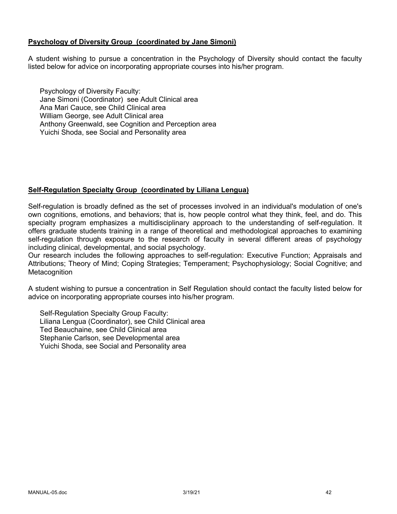#### **Psychology of Diversity Group (coordinated by Jane Simoni)**

A student wishing to pursue a concentration in the Psychology of Diversity should contact the faculty listed below for advice on incorporating appropriate courses into his/her program.

Psychology of Diversity Faculty: Jane Simoni (Coordinator) see Adult Clinical area Ana Mari Cauce, see Child Clinical area William George, see Adult Clinical area Anthony Greenwald, see Cognition and Perception area Yuichi Shoda, see Social and Personality area

### **Self-Regulation Specialty Group (coordinated by Liliana Lengua)**

Self-regulation is broadly defined as the set of processes involved in an individual's modulation of one's own cognitions, emotions, and behaviors; that is, how people control what they think, feel, and do. This specialty program emphasizes a multidisciplinary approach to the understanding of self-regulation. It offers graduate students training in a range of theoretical and methodological approaches to examining self-regulation through exposure to the research of faculty in several different areas of psychology including clinical, developmental, and social psychology.

Our research includes the following approaches to self-regulation: Executive Function; Appraisals and Attributions; Theory of Mind; Coping Strategies; Temperament; Psychophysiology; Social Cognitive; and **Metacognition** 

A student wishing to pursue a concentration in Self Regulation should contact the faculty listed below for advice on incorporating appropriate courses into his/her program.

Self-Regulation Specialty Group Faculty: Liliana Lengua (Coordinator), see Child Clinical area Ted Beauchaine, see Child Clinical area Stephanie Carlson, see Developmental area Yuichi Shoda, see Social and Personality area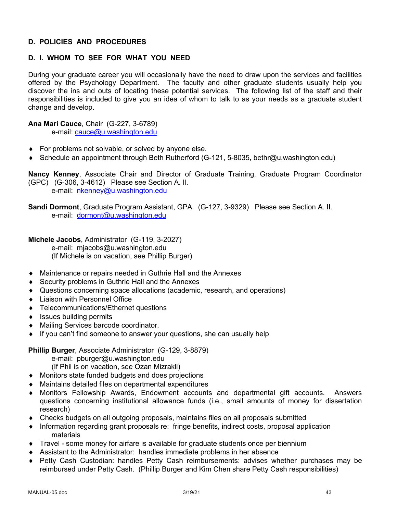### **D. POLICIES AND PROCEDURES**

## **D. I. WHOM TO SEE FOR WHAT YOU NEED**

During your graduate career you will occasionally have the need to draw upon the services and facilities offered by the Psychology Department. The faculty and other graduate students usually help you discover the ins and outs of locating these potential services. The following list of the staff and their responsibilities is included to give you an idea of whom to talk to as your needs as a graduate student change and develop.

**Ana Mari Cauce**, Chair (G-227, 3-6789)

e-mail: cauce@u.washington.edu

- $\bullet$  For problems not solvable, or solved by anyone else.
- ◆ Schedule an appointment through Beth Rutherford (G-121, 5-8035, bethr@u.washington.edu)

**Nancy Kenney**, Associate Chair and Director of Graduate Training, Graduate Program Coordinator (GPC) (G-306, 3-4612) Please see Section A. II. e-mail: nkenney@u.washington.edu

**Sandi Dormont**, Graduate Program Assistant, GPA (G-127, 3-9329) Please see Section A. II. e-mail: dormont@u.washington.edu

**Michele Jacobs**, Administrator (G-119, 3-2027) e-mail: mjacobs@u.washington.edu (If Michele is on vacation, see Phillip Burger)

- Maintenance or repairs needed in Guthrie Hall and the Annexes
- ◆ Security problems in Guthrie Hall and the Annexes
- Questions concerning space allocations (academic, research, and operations)
- Liaison with Personnel Office
- ◆ Telecommunications/Ethernet questions
- $\bullet$  Issues building permits
- ◆ Mailing Services barcode coordinator.
- $\bullet$  If you can't find someone to answer your questions, she can usually help

**Phillip Burger**, Associate Administrator (G-129, 3-8879)

e-mail: pburger@u.washington.edu

(If Phil is on vacation, see Ozan Mizrakli)

- ◆ Monitors state funded budgets and does projections
- $\bullet$  Maintains detailed files on departmental expenditures
- Monitors Fellowship Awards, Endowment accounts and departmental gift accounts. Answers questions concerning institutional allowance funds (i.e., small amounts of money for dissertation research)
- $\bullet$  Checks budgets on all outgoing proposals, maintains files on all proposals submitted
- Information regarding grant proposals re: fringe benefits, indirect costs, proposal application materials
- $\bullet$  Travel some money for airfare is available for graduate students once per biennium
- $\bullet$  Assistant to the Administrator: handles immediate problems in her absence
- Petty Cash Custodian: handles Petty Cash reimbursements: advises whether purchases may be reimbursed under Petty Cash. (Phillip Burger and Kim Chen share Petty Cash responsibilities)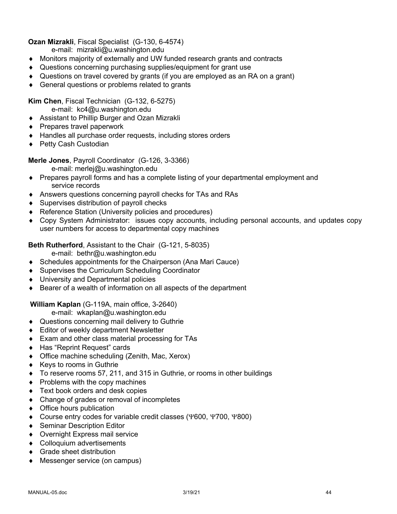### **Ozan Mizrakli**, Fiscal Specialist (G-130, 6-4574)

e-mail: mizrakli@u.washington.edu

- Monitors majority of externally and UW funded research grants and contracts
- Questions concerning purchasing supplies/equipment for grant use
- $\bullet$  Questions on travel covered by grants (if you are employed as an RA on a grant)
- $\triangleleft$  General questions or problems related to grants

**Kim Chen**, Fiscal Technician (G-132, 6-5275)

- e-mail: kc4@u.washington.edu
- ◆ Assistant to Phillip Burger and Ozan Mizrakli
- $\triangle$  Prepares travel paperwork
- $\triangleleft$  Handles all purchase order requests, including stores orders
- ◆ Petty Cash Custodian

**Merle Jones**, Payroll Coordinator (G-126, 3-3366)

- e-mail: merlej@u.washington.edu
- Prepares payroll forms and has a complete listing of your departmental employment and service records
- Answers questions concerning payroll checks for TAs and RAs
- $\bullet$  Supervises distribution of payroll checks
- ◆ Reference Station (University policies and procedures)
- Copy System Administrator: issues copy accounts, including personal accounts, and updates copy user numbers for access to departmental copy machines

**Beth Rutherford**, Assistant to the Chair (G-121, 5-8035)

e-mail: bethr@u.washington.edu

- $\bullet$  Schedules appointments for the Chairperson (Ana Mari Cauce)
- ◆ Supervises the Curriculum Scheduling Coordinator
- ◆ University and Departmental policies
- $\bullet$  Bearer of a wealth of information on all aspects of the department

## **William Kaplan** (G-119A, main office, 3-2640)

e-mail: wkaplan@u.washington.edu

- ◆ Questions concerning mail delivery to Guthrie
- $\triangleleft$  Editor of weekly department Newsletter
- $\bullet$  Exam and other class material processing for TAs
- ◆ Has "Reprint Request" cards
- $\bullet$  Office machine scheduling (Zenith, Mac, Xerox)
- $\triangleleft$  Keys to rooms in Guthrie
- To reserve rooms 57, 211, and 315 in Guthrie, or rooms in other buildings
- $\bullet$  Problems with the copy machines
- $\triangleleft$  Text book orders and desk copies
- $\bullet$  Change of grades or removal of incompletes
- $\bullet$  Office hours publication
- ◆ Course entry codes for variable credit classes (Y600, Y700, Y800)
- ◆ Seminar Description Editor
- ◆ Overnight Express mail service
- Colloquium advertisements
- $\triangleleft$  Grade sheet distribution
- ◆ Messenger service (on campus)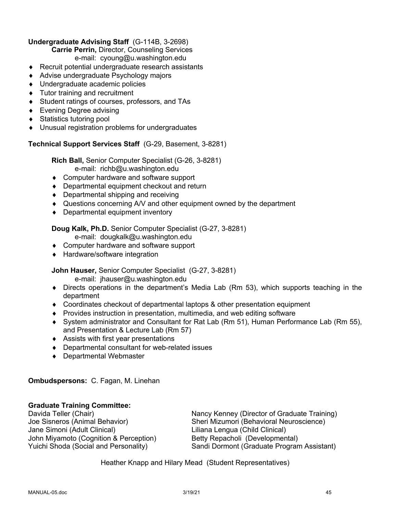### **Undergraduate Advising Staff** (G-114B, 3-2698)

**Carrie Perrin,** Director, Counseling Services

e-mail: cyoung@u.washington.edu

- $\triangle$  Recruit potential undergraduate research assistants
- ◆ Advise undergraduate Psychology majors
- ◆ Undergraduate academic policies
- $\bullet$  Tutor training and recruitment
- ◆ Student ratings of courses, professors, and TAs
- $\bullet$  Evening Degree advising
- ◆ Statistics tutoring pool
- $\bullet$  Unusual registration problems for undergraduates

## **Technical Support Services Staff** (G-29, Basement, 3-8281)

**Rich Ball,** Senior Computer Specialist (G-26, 3-8281) e-mail: richb@u.washington.edu

- ◆ Computer hardware and software support
- $\bullet$  Departmental equipment checkout and return
- $\bullet$  Departmental shipping and receiving
- Questions concerning A/V and other equipment owned by the department
- $\bullet$  Departmental equipment inventory

## **Doug Kalk, Ph.D.** Senior Computer Specialist (G-27, 3-8281)

- e-mail: dougkalk@u.washington.edu
- ◆ Computer hardware and software support
- ◆ Hardware/software integration

## **John Hauser,** Senior Computer Specialist (G-27, 3-8281)

e-mail: jhauser@u.washington.edu

- $\bullet$  Directs operations in the department's Media Lab (Rm 53), which supports teaching in the department
- $\bullet$  Coordinates checkout of departmental laptops & other presentation equipment
- $\bullet$  Provides instruction in presentation, multimedia, and web editing software
- ¨ System administrator and Consultant for Rat Lab (Rm 51), Human Performance Lab (Rm 55), and Presentation & Lecture Lab (Rm 57)
- $\triangleleft$  Assists with first year presentations
- $\bullet$  Departmental consultant for web-related issues
- ◆ Departmental Webmaster

## **Ombudspersons:** C. Fagan, M. Linehan

## **Graduate Training Committee:**

Jane Simoni (Adult Clinical) Liliana Lengua (Child Clinical) John Miyamoto (Cognition & Perception) Betty Repacholi (Developmental)<br>
Yuichi Shoda (Social and Personality) Sandi Dormont (Graduate Progran

Davida Teller (Chair)<br>
Joe Sisneros (Animal Behavior) Sheri Mizumori (Behavioral Neuroscience) Sheri Mizumori (Behavioral Neuroscience) Sandi Dormont (Graduate Program Assistant)

Heather Knapp and Hilary Mead (Student Representatives)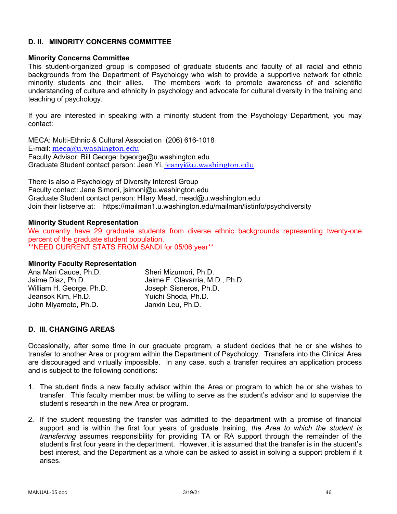#### **D. II. MINORITY CONCERNS COMMITTEE**

#### **Minority Concerns Committee**

This student-organized group is composed of graduate students and faculty of all racial and ethnic backgrounds from the Department of Psychology who wish to provide a supportive network for ethnic minority students and their allies. The members work to promote awareness of and scientific understanding of culture and ethnicity in psychology and advocate for cultural diversity in the training and teaching of psychology.

If you are interested in speaking with a minority student from the Psychology Department, you may contact:

MECA: Multi-Ethnic & Cultural Association (206) 616-1018 E-mail: meca@u.washington.edu Faculty Advisor: Bill George: bgeorge@u.washington.edu Graduate Student contact person: Jean Yi, jeanyi@u.washington.edu

There is also a Psychology of Diversity Interest Group Faculty contact: Jane Simoni, jsimoni@u.washington.edu Graduate Student contact person: Hilary Mead, mead@u.washington.edu Join their listserve at: https://mailman1.u.washington.edu/mailman/listinfo/psychdiversity

#### **Minority Student Representation**

We currently have 29 graduate students from diverse ethnic backgrounds representing twenty-one percent of the graduate student population. \*\*NEED CURRENT STATS FROM SANDI for 05/06 year\*\*

#### **Minority Faculty Representation**

| Ana Mari Cauce, Ph.D.    | Sheri Mizumori, Ph.D.           |
|--------------------------|---------------------------------|
| Jaime Diaz, Ph.D.        | Jaime F. Olavarria, M.D., Ph.D. |
| William H. George, Ph.D. | Joseph Sisneros, Ph.D.          |
| Jeansok Kim, Ph.D.       | Yuichi Shoda, Ph.D.             |
| John Miyamoto, Ph.D.     | Janxin Leu, Ph.D.               |

### **D. III. CHANGING AREAS**

Occasionally, after some time in our graduate program, a student decides that he or she wishes to transfer to another Area or program within the Department of Psychology. Transfers into the Clinical Area are discouraged and virtually impossible. In any case, such a transfer requires an application process and is subject to the following conditions:

- 1. The student finds a new faculty advisor within the Area or program to which he or she wishes to transfer. This faculty member must be willing to serve as the student's advisor and to supervise the student's research in the new Area or program.
- 2. If the student requesting the transfer was admitted to the department with a promise of financial support and is within the first four years of graduate training, *the Area to which the student is transferring* assumes responsibility for providing TA or RA support through the remainder of the student's first four years in the department. However, it is assumed that the transfer is in the student's best interest, and the Department as a whole can be asked to assist in solving a support problem if it arises.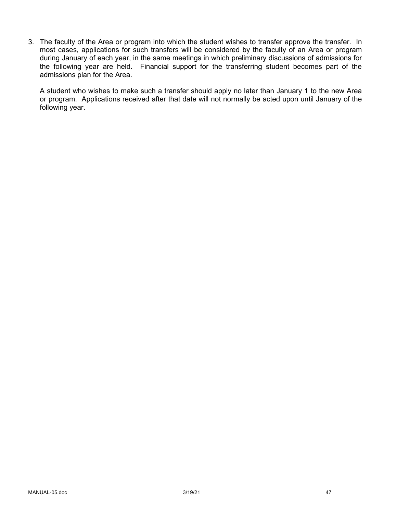3. The faculty of the Area or program into which the student wishes to transfer approve the transfer. In most cases, applications for such transfers will be considered by the faculty of an Area or program during January of each year, in the same meetings in which preliminary discussions of admissions for the following year are held. Financial support for the transferring student becomes part of the admissions plan for the Area.

A student who wishes to make such a transfer should apply no later than January 1 to the new Area or program. Applications received after that date will not normally be acted upon until January of the following year.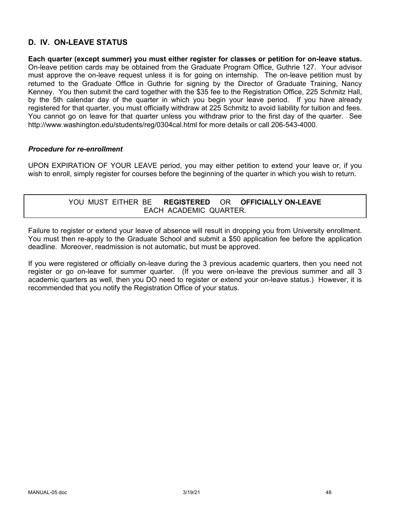## **D. IV. ON-LEAVE STATUS**

**Each quarter (except summer) you must either register for classes or petition for on-leave status.** On-leave petition cards may be obtained from the Graduate Program Office, Guthrie 127. Your advisor must approve the on-leave request unless it is for going on internship. The on-leave petition must by returned to the Graduate Office in Guthrie for signing by the Director of Graduate Training, Nancy Kenney. You then submit the card together with the \$35 fee to the Registration Office, 225 Schmitz Hall, by the 5th calendar day of the quarter in which you begin your leave period. If you have already registered for that quarter, you must officially withdraw at 225 Schmitz to avoid liability for tuition and fees. You cannot go on leave for that quarter unless you withdraw prior to the first day of the quarter. See http://www.washington.edu/students/reg/0304cal.html for more details or call 206-543-4000.

#### *Procedure for re-enrollment*

UPON EXPIRATION OF YOUR LEAVE period, you may either petition to extend your leave or, if you wish to enroll, simply register for courses before the beginning of the quarter in which you wish to return.

### YOU MUST EITHER BE **REGISTERED** OR **OFFICIALLY ON-LEAVE** EACH ACADEMIC QUARTER.

Failure to register or extend your leave of absence will result in dropping you from University enrollment. You must then re-apply to the Graduate School and submit a \$50 application fee before the application deadline. Moreover, readmission is not automatic, but must be approved.

If you were registered or officially on-leave during the 3 previous academic quarters, then you need not register or go on-leave for summer quarter. (If you were on-leave the previous summer and all 3 academic quarters as well, then you DO need to register or extend your on-leave status.) However, it is recommended that you notify the Registration Office of your status.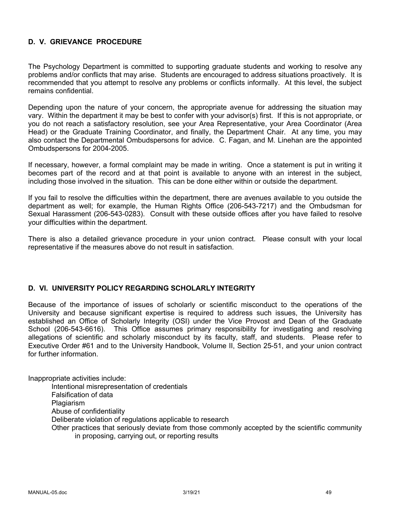### **D. V. GRIEVANCE PROCEDURE**

The Psychology Department is committed to supporting graduate students and working to resolve any problems and/or conflicts that may arise. Students are encouraged to address situations proactively. It is recommended that you attempt to resolve any problems or conflicts informally. At this level, the subject remains confidential.

Depending upon the nature of your concern, the appropriate avenue for addressing the situation may vary. Within the department it may be best to confer with your advisor(s) first. If this is not appropriate, or you do not reach a satisfactory resolution, see your Area Representative, your Area Coordinator (Area Head) or the Graduate Training Coordinator, and finally, the Department Chair. At any time, you may also contact the Departmental Ombudspersons for advice. C. Fagan, and M. Linehan are the appointed Ombudspersons for 2004-2005.

If necessary, however, a formal complaint may be made in writing. Once a statement is put in writing it becomes part of the record and at that point is available to anyone with an interest in the subject, including those involved in the situation. This can be done either within or outside the department.

If you fail to resolve the difficulties within the department, there are avenues available to you outside the department as well; for example, the Human Rights Office (206-543-7217) and the Ombudsman for Sexual Harassment (206-543-0283). Consult with these outside offices after you have failed to resolve your difficulties within the department.

There is also a detailed grievance procedure in your union contract. Please consult with your local representative if the measures above do not result in satisfaction.

#### **D. VI. UNIVERSITY POLICY REGARDING SCHOLARLY INTEGRITY**

Because of the importance of issues of scholarly or scientific misconduct to the operations of the University and because significant expertise is required to address such issues, the University has established an Office of Scholarly Integrity (OSI) under the Vice Provost and Dean of the Graduate School (206-543-6616). This Office assumes primary responsibility for investigating and resolving allegations of scientific and scholarly misconduct by its faculty, staff, and students. Please refer to Executive Order #61 and to the University Handbook, Volume II, Section 25-51, and your union contract for further information.

Inappropriate activities include:

Intentional misrepresentation of credentials

Falsification of data

**Plagiarism** 

Abuse of confidentiality

Deliberate violation of regulations applicable to research

Other practices that seriously deviate from those commonly accepted by the scientific community in proposing, carrying out, or reporting results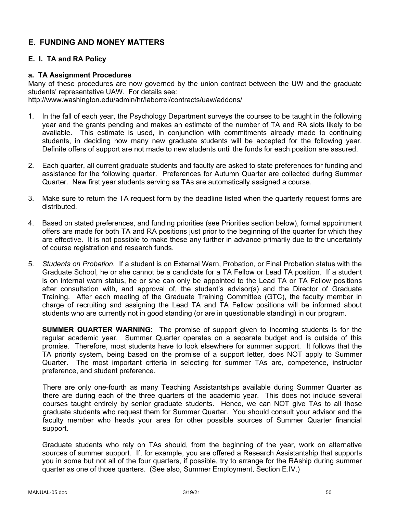## **E. FUNDING AND MONEY MATTERS**

### **E. I. TA and RA Policy**

#### **a. TA Assignment Procedures**

Many of these procedures are now governed by the union contract between the UW and the graduate students' representative UAW. For details see: http://www.washington.edu/admin/hr/laborrel/contracts/uaw/addons/

- 1. In the fall of each year, the Psychology Department surveys the courses to be taught in the following year and the grants pending and makes an estimate of the number of TA and RA slots likely to be available. This estimate is used, in conjunction with commitments already made to continuing students, in deciding how many new graduate students will be accepted for the following year. Definite offers of support are not made to new students until the funds for each position are assured.
- 2. Each quarter, all current graduate students and faculty are asked to state preferences for funding and assistance for the following quarter. Preferences for Autumn Quarter are collected during Summer Quarter. New first year students serving as TAs are automatically assigned a course.
- 3. Make sure to return the TA request form by the deadline listed when the quarterly request forms are distributed.
- 4. Based on stated preferences, and funding priorities (see Priorities section below), formal appointment offers are made for both TA and RA positions just prior to the beginning of the quarter for which they are effective. It is not possible to make these any further in advance primarily due to the uncertainty of course registration and research funds.
- 5. *Students on Probation.* If a student is on External Warn, Probation, or Final Probation status with the Graduate School, he or she cannot be a candidate for a TA Fellow or Lead TA position. If a student is on internal warn status, he or she can only be appointed to the Lead TA or TA Fellow positions after consultation with, and approval of, the student's advisor(s) and the Director of Graduate Training. After each meeting of the Graduate Training Committee (GTC), the faculty member in charge of recruiting and assigning the Lead TA and TA Fellow positions will be informed about students who are currently not in good standing (or are in questionable standing) in our program.

**SUMMER QUARTER WARNING**: The promise of support given to incoming students is for the regular academic year. Summer Quarter operates on a separate budget and is outside of this promise. Therefore, most students have to look elsewhere for summer support. It follows that the TA priority system, being based on the promise of a support letter, does NOT apply to Summer Quarter. The most important criteria in selecting for summer TAs are, competence, instructor preference, and student preference.

There are only one-fourth as many Teaching Assistantships available during Summer Quarter as there are during each of the three quarters of the academic year. This does not include several courses taught entirely by senior graduate students. Hence, we can NOT give TAs to all those graduate students who request them for Summer Quarter. You should consult your advisor and the faculty member who heads your area for other possible sources of Summer Quarter financial support.

Graduate students who rely on TAs should, from the beginning of the year, work on alternative sources of summer support. If, for example, you are offered a Research Assistantship that supports you in some but not all of the four quarters, if possible, try to arrange for the RAship during summer quarter as one of those quarters. (See also, Summer Employment, Section E.IV.)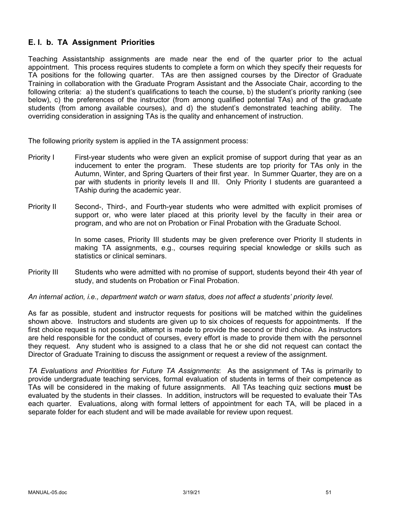## **E. I. b. TA Assignment Priorities**

Teaching Assistantship assignments are made near the end of the quarter prior to the actual appointment. This process requires students to complete a form on which they specify their requests for TA positions for the following quarter. TAs are then assigned courses by the Director of Graduate Training in collaboration with the Graduate Program Assistant and the Associate Chair, according to the following criteria: a) the student's qualifications to teach the course, b) the student's priority ranking (see below), c) the preferences of the instructor (from among qualified potential TAs) and of the graduate students (from among available courses), and d) the student's demonstrated teaching ability. The overriding consideration in assigning TAs is the quality and enhancement of instruction.

The following priority system is applied in the TA assignment process:

- Priority I First-year students who were given an explicit promise of support during that year as an inducement to enter the program. These students are top priority for TAs only in the Autumn, Winter, and Spring Quarters of their first year. In Summer Quarter, they are on a par with students in priority levels II and III. Only Priority I students are guaranteed a TAship during the academic year.
- Priority II Second-, Third-, and Fourth-year students who were admitted with explicit promises of support or, who were later placed at this priority level by the faculty in their area or program, and who are not on Probation or Final Probation with the Graduate School.

In some cases, Priority III students may be given preference over Priority II students in making TA assignments, e.g., courses requiring special knowledge or skills such as statistics or clinical seminars.

Priority III Students who were admitted with no promise of support, students beyond their 4th year of study, and students on Probation or Final Probation.

*An internal action, i.e., department watch or warn status, does not affect a students' priority level.*

As far as possible, student and instructor requests for positions will be matched within the guidelines shown above. Instructors and students are given up to six choices of requests for appointments. If the first choice request is not possible, attempt is made to provide the second or third choice. As instructors are held responsible for the conduct of courses, every effort is made to provide them with the personnel they request. Any student who is assigned to a class that he or she did not request can contact the Director of Graduate Training to discuss the assignment or request a review of the assignment.

*TA Evaluations and Prioritities for Future TA Assignments*: As the assignment of TAs is primarily to provide undergraduate teaching services, formal evaluation of students in terms of their competence as TAs will be considered in the making of future assignments. All TAs teaching quiz sections **must** be evaluated by the students in their classes. In addition, instructors will be requested to evaluate their TAs each quarter. Evaluations, along with formal letters of appointment for each TA, will be placed in a separate folder for each student and will be made available for review upon request.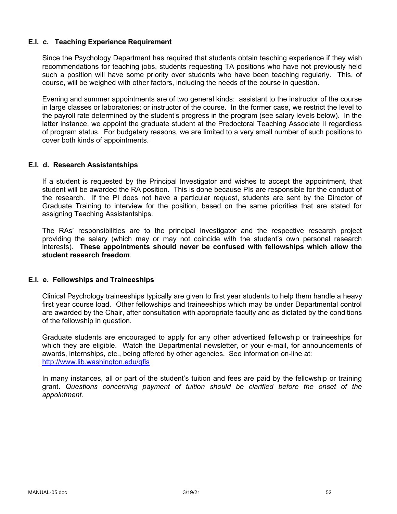#### **E.I. c. Teaching Experience Requirement**

Since the Psychology Department has required that students obtain teaching experience if they wish recommendations for teaching jobs, students requesting TA positions who have not previously held such a position will have some priority over students who have been teaching regularly. This, of course, will be weighed with other factors, including the needs of the course in question.

Evening and summer appointments are of two general kinds: assistant to the instructor of the course in large classes or laboratories; or instructor of the course. In the former case, we restrict the level to the payroll rate determined by the student's progress in the program (see salary levels below). In the latter instance, we appoint the graduate student at the Predoctoral Teaching Associate II regardless of program status. For budgetary reasons, we are limited to a very small number of such positions to cover both kinds of appointments.

#### **E.I. d. Research Assistantships**

If a student is requested by the Principal Investigator and wishes to accept the appointment, that student will be awarded the RA position. This is done because PIs are responsible for the conduct of the research. If the PI does not have a particular request, students are sent by the Director of Graduate Training to interview for the position, based on the same priorities that are stated for assigning Teaching Assistantships.

The RAs' responsibilities are to the principal investigator and the respective research project providing the salary (which may or may not coincide with the student's own personal research interests). **These appointments should never be confused with fellowships which allow the student research freedom**.

#### **E.I. e. Fellowships and Traineeships**

Clinical Psychology traineeships typically are given to first year students to help them handle a heavy first year course load. Other fellowships and traineeships which may be under Departmental control are awarded by the Chair, after consultation with appropriate faculty and as dictated by the conditions of the fellowship in question.

Graduate students are encouraged to apply for any other advertised fellowship or traineeships for which they are eligible. Watch the Departmental newsletter, or your e-mail, for announcements of awards, internships, etc., being offered by other agencies. See information on-line at: http://www.lib.washington.edu/gfis

In many instances, all or part of the student's tuition and fees are paid by the fellowship or training grant. *Questions concerning payment of tuition should be clarified before the onset of the appointment.*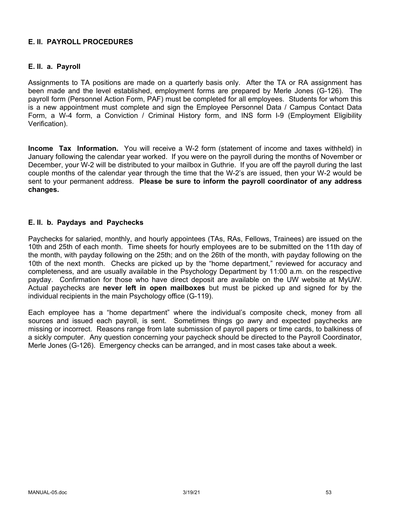### **E. II. PAYROLL PROCEDURES**

#### **E. II. a. Payroll**

Assignments to TA positions are made on a quarterly basis only. After the TA or RA assignment has been made and the level established, employment forms are prepared by Merle Jones (G-126). The payroll form (Personnel Action Form, PAF) must be completed for all employees. Students for whom this is a new appointment must complete and sign the Employee Personnel Data / Campus Contact Data Form, a W-4 form, a Conviction / Criminal History form, and INS form I-9 (Employment Eligibility Verification).

**Income Tax Information.** You will receive a W-2 form (statement of income and taxes withheld) in January following the calendar year worked. If you were on the payroll during the months of November or December, your W-2 will be distributed to your mailbox in Guthrie. If you are off the payroll during the last couple months of the calendar year through the time that the W-2's are issued, then your W-2 would be sent to your permanent address. **Please be sure to inform the payroll coordinator of any address changes.**

#### **E. II. b. Paydays and Paychecks**

Paychecks for salaried, monthly, and hourly appointees (TAs, RAs, Fellows, Trainees) are issued on the 10th and 25th of each month. Time sheets for hourly employees are to be submitted on the 11th day of the month, with payday following on the 25th; and on the 26th of the month, with payday following on the 10th of the next month. Checks are picked up by the "home department," reviewed for accuracy and completeness, and are usually available in the Psychology Department by 11:00 a.m. on the respective payday. Confirmation for those who have direct deposit are available on the UW website at MyUW. Actual paychecks are **never left in open mailboxes** but must be picked up and signed for by the individual recipients in the main Psychology office (G-119).

Each employee has a "home department" where the individual's composite check, money from all sources and issued each payroll, is sent. Sometimes things go awry and expected paychecks are missing or incorrect. Reasons range from late submission of payroll papers or time cards, to balkiness of a sickly computer. Any question concerning your paycheck should be directed to the Payroll Coordinator, Merle Jones (G-126). Emergency checks can be arranged, and in most cases take about a week.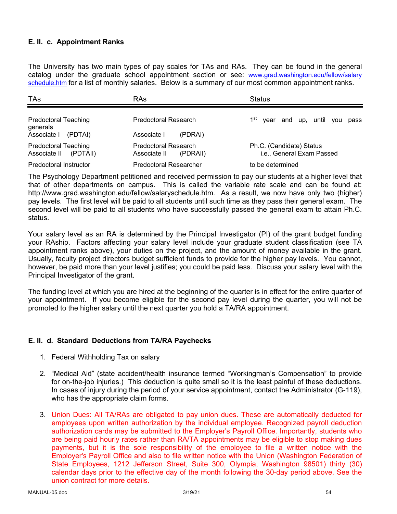### **E. II. c. Appointment Ranks**

The University has two main types of pay scales for TAs and RAs. They can be found in the general catalog under the graduate school appointment section or see: www.grad.washington.edu/fellow/salary schedule.htm for a list of monthly salaries. Below is a summary of our most common appointment ranks.

| TAs                                                     | RAs                                              | <b>Status</b>                                         |
|---------------------------------------------------------|--------------------------------------------------|-------------------------------------------------------|
| <b>Predoctoral Teaching</b><br>generals                 | Predoctoral Research                             | 1 <sup>st</sup><br>year and up, until you<br>pass     |
| Associate I<br>(PDTAI)                                  | Associate I<br>(PDRAI)                           |                                                       |
| <b>Predoctoral Teaching</b><br>(PDTAII)<br>Associate II | Predoctoral Research<br>Associate II<br>(PDRAII) | Ph.C. (Candidate) Status<br>i.e., General Exam Passed |
| Predoctoral Instructor                                  | <b>Predoctoral Researcher</b>                    | to be determined                                      |

The Psychology Department petitioned and received permission to pay our students at a higher level that that of other departments on campus. This is called the variable rate scale and can be found at: http://www.grad.washington.edu/fellow/salaryschedule.htm. As a result, we now have only two (higher) pay levels. The first level will be paid to all students until such time as they pass their general exam. The second level will be paid to all students who have successfully passed the general exam to attain Ph.C. status.

Your salary level as an RA is determined by the Principal Investigator (PI) of the grant budget funding your RAship. Factors affecting your salary level include your graduate student classification (see TA appointment ranks above), your duties on the project, and the amount of money available in the grant. Usually, faculty project directors budget sufficient funds to provide for the higher pay levels. You cannot, however, be paid more than your level justifies; you could be paid less. Discuss your salary level with the Principal Investigator of the grant.

The funding level at which you are hired at the beginning of the quarter is in effect for the entire quarter of your appointment. If you become eligible for the second pay level during the quarter, you will not be promoted to the higher salary until the next quarter you hold a TA/RA appointment.

#### **E. II. d. Standard Deductions from TA/RA Paychecks**

- 1. Federal Withholding Tax on salary
- 2. "Medical Aid" (state accident/health insurance termed "Workingman's Compensation" to provide for on-the-job injuries.) This deduction is quite small so it is the least painful of these deductions. In cases of injury during the period of your service appointment, contact the Administrator (G-119), who has the appropriate claim forms.
- 3. Union Dues: All TA/RAs are obligated to pay union dues. These are automatically deducted for employees upon written authorization by the individual employee. Recognized payroll deduction authorization cards may be submitted to the Employer's Payroll Office. Importantly, students who are being paid hourly rates rather than RA/TA appointments may be eligible to stop making dues payments, but it is the sole responsibility of the employee to file a written notice with the Employer's Payroll Office and also to file written notice with the Union (Washington Federation of State Employees, 1212 Jefferson Street, Suite 300, Olympia, Washington 98501) thirty (30) calendar days prior to the effective day of the month following the 30-day period above. See the union contract for more details.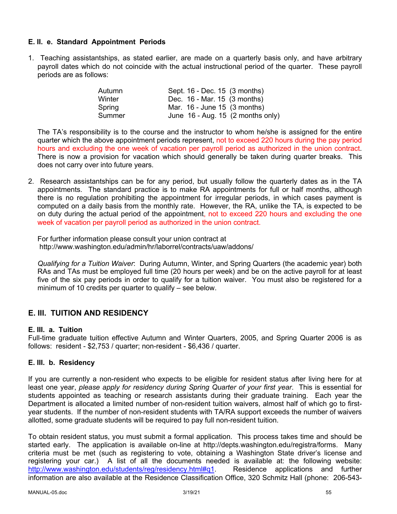### **E. II. e. Standard Appointment Periods**

1. Teaching assistantships, as stated earlier, are made on a quarterly basis only, and have arbitrary payroll dates which do not coincide with the actual instructional period of the quarter. These payroll periods are as follows:

| Autumn | Sept. 16 - Dec. 15 (3 months)                 |
|--------|-----------------------------------------------|
| Winter | Dec. 16 - Mar. 15 (3 months)                  |
| Spring | Mar. 16 - June 15 (3 months)                  |
| Summer | June $16$ - Aug. 15 $(2 \text{ months only})$ |

The TA's responsibility is to the course and the instructor to whom he/she is assigned for the entire quarter which the above appointment periods represent, not to exceed 220 hours during the pay period hours and excluding the one week of vacation per payroll period as authorized in the union contract. There is now a provision for vacation which should generally be taken during quarter breaks. This does not carry over into future years.

2. Research assistantships can be for any period, but usually follow the quarterly dates as in the TA appointments. The standard practice is to make RA appointments for full or half months, although there is no regulation prohibiting the appointment for irregular periods, in which cases payment is computed on a daily basis from the monthly rate. However, the RA, unlike the TA, is expected to be on duty during the actual period of the appointment, not to exceed 220 hours and excluding the one week of vacation per payroll period as authorized in the union contract.

For further information please consult your union contract at http://www.washington.edu/admin/hr/laborrel/contracts/uaw/addons/

*Qualifying for a Tuition Waiver*: During Autumn, Winter, and Spring Quarters (the academic year) both RAs and TAs must be employed full time (20 hours per week) and be on the active payroll for at least five of the six pay periods in order to qualify for a tuition waiver. You must also be registered for a minimum of 10 credits per quarter to qualify – see below.

## **E. III. TUITION AND RESIDENCY**

#### **E. III. a. Tuition**

Full-time graduate tuition effective Autumn and Winter Quarters, 2005, and Spring Quarter 2006 is as follows: resident - \$2,753 / quarter; non-resident - \$6,436 / quarter.

#### **E. III. b. Residency**

If you are currently a non-resident who expects to be eligible for resident status after living here for at least one year, *please apply for residency during Spring Quarter of your first year*. This is essential for students appointed as teaching or research assistants during their graduate training. Each year the Department is allocated a limited number of non-resident tuition waivers, almost half of which go to firstyear students. If the number of non-resident students with TA/RA support exceeds the number of waivers allotted, some graduate students will be required to pay full non-resident tuition.

To obtain resident status, you must submit a formal application. This process takes time and should be started early. The application is available on-line at http://depts.washington.edu/registra/forms. Many criteria must be met (such as registering to vote, obtaining a Washington State driver's license and registering your car.) A list of all the documents needed is available at: the following website: http://www.washington.edu/students/reg/residency.html#q1. Residence applications and further information are also available at the Residence Classification Office, 320 Schmitz Hall (phone: 206-543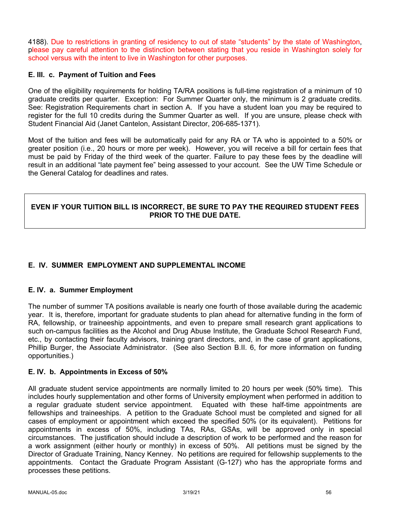4188). Due to restrictions in granting of residency to out of state "students" by the state of Washington, please pay careful attention to the distinction between stating that you reside in Washington solely for school versus with the intent to live in Washington for other purposes.

### **E. III. c. Payment of Tuition and Fees**

One of the eligibility requirements for holding TA/RA positions is full-time registration of a minimum of 10 graduate credits per quarter. Exception: For Summer Quarter only, the minimum is 2 graduate credits. See: Registration Requirements chart in section A. If you have a student loan you may be required to register for the full 10 credits during the Summer Quarter as well. If you are unsure, please check with Student Financial Aid (Janet Cantelon, Assistant Director, 206-685-1371).

Most of the tuition and fees will be automatically paid for any RA or TA who is appointed to a 50% or greater position (i.e., 20 hours or more per week). However, you will receive a bill for certain fees that must be paid by Friday of the third week of the quarter. Failure to pay these fees by the deadline will result in an additional "late payment fee" being assessed to your account. See the UW Time Schedule or the General Catalog for deadlines and rates.

### **EVEN IF YOUR TUITION BILL IS INCORRECT, BE SURE TO PAY THE REQUIRED STUDENT FEES PRIOR TO THE DUE DATE.**

## **E. IV. SUMMER EMPLOYMENT AND SUPPLEMENTAL INCOME**

### **E. IV. a. Summer Employment**

The number of summer TA positions available is nearly one fourth of those available during the academic year. It is, therefore, important for graduate students to plan ahead for alternative funding in the form of RA, fellowship, or traineeship appointments, and even to prepare small research grant applications to such on-campus facilities as the Alcohol and Drug Abuse Institute, the Graduate School Research Fund, etc., by contacting their faculty advisors, training grant directors, and, in the case of grant applications, Phillip Burger, the Associate Administrator. (See also Section B.II. 6, for more information on funding opportunities.)

### **E. IV. b. Appointments in Excess of 50%**

All graduate student service appointments are normally limited to 20 hours per week (50% time). This includes hourly supplementation and other forms of University employment when performed in addition to a regular graduate student service appointment. Equated with these half-time appointments are fellowships and traineeships. A petition to the Graduate School must be completed and signed for all cases of employment or appointment which exceed the specified 50% (or its equivalent). Petitions for appointments in excess of 50%, including TAs, RAs, GSAs, will be approved only in special circumstances. The justification should include a description of work to be performed and the reason for a work assignment (either hourly or monthly) in excess of 50%. All petitions must be signed by the Director of Graduate Training, Nancy Kenney. No petitions are required for fellowship supplements to the appointments. Contact the Graduate Program Assistant (G-127) who has the appropriate forms and processes these petitions.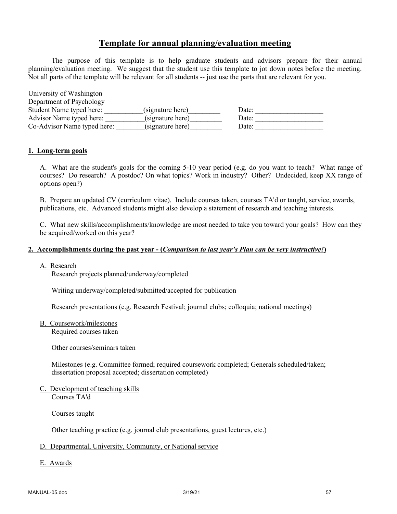## **Template for annual planning/evaluation meeting**

The purpose of this template is to help graduate students and advisors prepare for their annual planning/evaluation meeting. We suggest that the student use this template to jot down notes before the meeting. Not all parts of the template will be relevant for all students -- just use the parts that are relevant for you.

| University of Washington    |                  |       |
|-----------------------------|------------------|-------|
| Department of Psychology    |                  |       |
| Student Name typed here:    | (signature here) | Date: |
| Advisor Name typed here:    | (signature here) | Date: |
| Co-Advisor Name typed here: | (signature here) | Date: |

#### **1. Long-term goals**

A. What are the student's goals for the coming 5-10 year period (e.g. do you want to teach? What range of courses? Do research? A postdoc? On what topics? Work in industry? Other? Undecided, keep XX range of options open?)

B. Prepare an updated CV (curriculum vitae). Include courses taken, courses TA'd or taught, service, awards, publications, etc. Advanced students might also develop a statement of research and teaching interests.

C. What new skills/accomplishments/knowledge are most needed to take you toward your goals? How can they be acquired/worked on this year?

#### **2. Accomplishments during the past year - (***Comparison to last year's Plan can be very instructive!***)**

#### A. Research

Research projects planned/underway/completed

Writing underway/completed/submitted/accepted for publication

Research presentations (e.g. Research Festival; journal clubs; colloquia; national meetings)

B. Coursework/milestones

Required courses taken

Other courses/seminars taken

Milestones (e.g. Committee formed; required coursework completed; Generals scheduled/taken; dissertation proposal accepted; dissertation completed)

C. Development of teaching skills Courses TA'd

Courses taught

Other teaching practice (e.g. journal club presentations, guest lectures, etc.)

#### D. Departmental, University, Community, or National service

E. Awards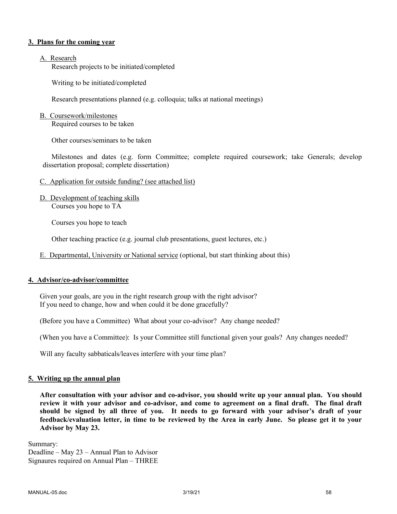#### **3. Plans for the coming year**

#### A. Research

Research projects to be initiated/completed

Writing to be initiated/completed

Research presentations planned (e.g. colloquia; talks at national meetings)

#### B. Coursework/milestones

Required courses to be taken

Other courses/seminars to be taken

Milestones and dates (e.g. form Committee; complete required coursework; take Generals; develop dissertation proposal; complete dissertation)

- C. Application for outside funding? (see attached list)
- D. Development of teaching skills Courses you hope to TA

Courses you hope to teach

Other teaching practice (e.g. journal club presentations, guest lectures, etc.)

E. Departmental, University or National service (optional, but start thinking about this)

#### **4. Advisor/co-advisor/committee**

Given your goals, are you in the right research group with the right advisor? If you need to change, how and when could it be done gracefully?

(Before you have a Committee) What about your co-advisor? Any change needed?

(When you have a Committee): Is your Committee still functional given your goals? Any changes needed?

Will any faculty sabbaticals/leaves interfere with your time plan?

#### **5. Writing up the annual plan**

**After consultation with your advisor and co-advisor, you should write up your annual plan. You should review it with your advisor and co-advisor, and come to agreement on a final draft. The final draft should be signed by all three of you. It needs to go forward with your advisor's draft of your feedback/evaluation letter, in time to be reviewed by the Area in early June. So please get it to your Advisor by May 23.**

Summary: Deadline – May 23 – Annual Plan to Advisor Signaures required on Annual Plan – THREE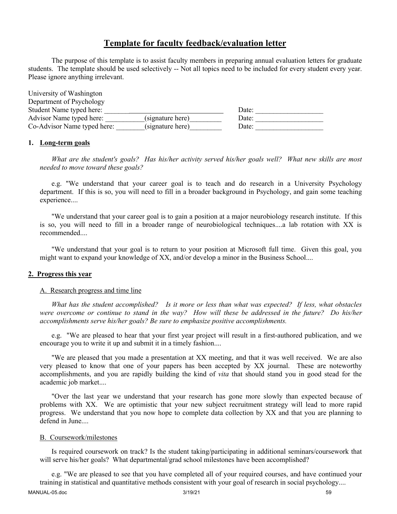## **Template for faculty feedback/evaluation letter**

The purpose of this template is to assist faculty members in preparing annual evaluation letters for graduate students. The template should be used selectively -- Not all topics need to be included for every student every year. Please ignore anything irrelevant.

| University of Washington    |                  |       |  |
|-----------------------------|------------------|-------|--|
| Department of Psychology    |                  |       |  |
| Student Name typed here:    |                  | Date: |  |
| Advisor Name typed here:    | (signature here) | Date: |  |
| Co-Advisor Name typed here: | (signature here) | Date: |  |

#### **1. Long-term goals**

*What are the student's goals? Has his/her activity served his/her goals well? What new skills are most needed to move toward these goals?*

e.g. "We understand that your career goal is to teach and do research in a University Psychology department. If this is so, you will need to fill in a broader background in Psychology, and gain some teaching experience....

"We understand that your career goal is to gain a position at a major neurobiology research institute. If this is so, you will need to fill in a broader range of neurobiological techniques....a lab rotation with XX is recommended....

"We understand that your goal is to return to your position at Microsoft full time. Given this goal, you might want to expand your knowledge of XX, and/or develop a minor in the Business School....

#### **2. Progress this year**

#### A. Research progress and time line

*What has the student accomplished? Is it more or less than what was expected? If less, what obstacles were overcome or continue to stand in the way? How will these be addressed in the future? Do his/her accomplishments serve his/her goals? Be sure to emphasize positive accomplishments.*

e.g. "We are pleased to hear that your first year project will result in a first-authored publication, and we encourage you to write it up and submit it in a timely fashion....

"We are pleased that you made a presentation at XX meeting, and that it was well received. We are also very pleased to know that one of your papers has been accepted by XX journal. These are noteworthy accomplishments, and you are rapidly building the kind of *vita* that should stand you in good stead for the academic job market....

"Over the last year we understand that your research has gone more slowly than expected because of problems with XX. We are optimistic that your new subject recruitment strategy will lead to more rapid progress. We understand that you now hope to complete data collection by XX and that you are planning to defend in June....

#### B. Coursework/milestones

Is required coursework on track? Is the student taking/participating in additional seminars/coursework that will serve his/her goals? What departmental/grad school milestones have been accomplished?

e.g. "We are pleased to see that you have completed all of your required courses, and have continued your training in statistical and quantitative methods consistent with your goal of research in social psychology....